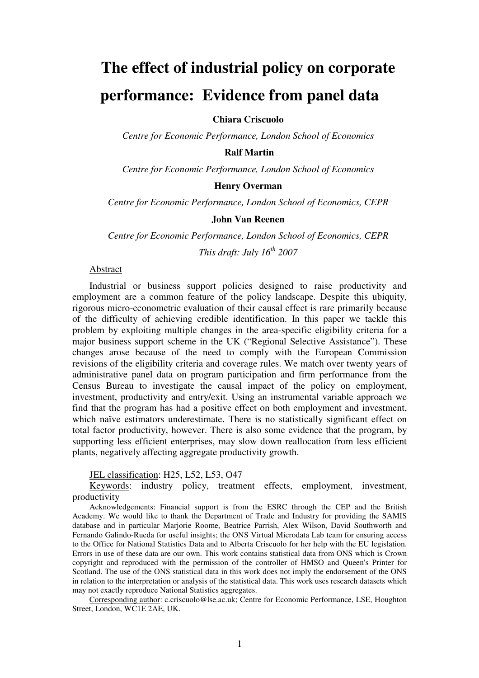# **The effect of industrial policy on corporate performance: Evidence from panel data**

**Chiara Criscuolo** 

*Centre for Economic Performance, London School of Economics* 

#### **Ralf Martin**

*Centre for Economic Performance, London School of Economics* 

#### **Henry Overman**

*Centre for Economic Performance, London School of Economics, CEPR* 

#### **John Van Reenen**

*Centre for Economic Performance, London School of Economics, CEPR This draft: July 16th 2007*

### Abstract

Industrial or business support policies designed to raise productivity and employment are a common feature of the policy landscape. Despite this ubiquity, rigorous micro-econometric evaluation of their causal effect is rare primarily because of the difficulty of achieving credible identification. In this paper we tackle this problem by exploiting multiple changes in the area-specific eligibility criteria for a major business support scheme in the UK ("Regional Selective Assistance"). These changes arose because of the need to comply with the European Commission revisions of the eligibility criteria and coverage rules. We match over twenty years of administrative panel data on program participation and firm performance from the Census Bureau to investigate the causal impact of the policy on employment, investment, productivity and entry/exit. Using an instrumental variable approach we find that the program has had a positive effect on both employment and investment, which naïve estimators underestimate. There is no statistically significant effect on total factor productivity, however. There is also some evidence that the program, by supporting less efficient enterprises, may slow down reallocation from less efficient plants, negatively affecting aggregate productivity growth.

JEL classification: H25, L52, L53, O47

Keywords: industry policy, treatment effects, employment, investment, productivity

Acknowledgements: Financial support is from the ESRC through the CEP and the British Academy. We would like to thank the Department of Trade and Industry for providing the SAMIS database and in particular Marjorie Roome, Beatrice Parrish, Alex Wilson, David Southworth and Fernando Galindo-Rueda for useful insights; the ONS Virtual Microdata Lab team for ensuring access to the Office for National Statistics Data and to Alberta Criscuolo for her help with the EU legislation. Errors in use of these data are our own. This work contains statistical data from ONS which is Crown copyright and reproduced with the permission of the controller of HMSO and Queen's Printer for Scotland. The use of the ONS statistical data in this work does not imply the endorsement of the ONS in relation to the interpretation or analysis of the statistical data. This work uses research datasets which may not exactly reproduce National Statistics aggregates.

Corresponding author: c.criscuolo@lse.ac.uk; Centre for Economic Performance, LSE, Houghton Street, London, WC1E 2AE, UK.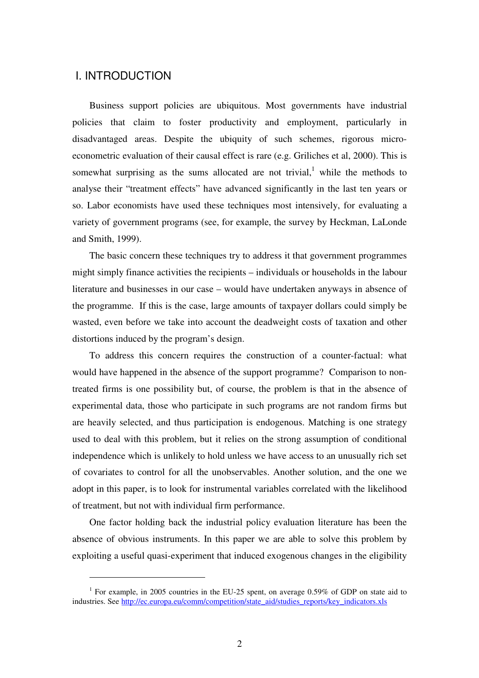## I. INTRODUCTION

 $\overline{a}$ 

Business support policies are ubiquitous. Most governments have industrial policies that claim to foster productivity and employment, particularly in disadvantaged areas. Despite the ubiquity of such schemes, rigorous microeconometric evaluation of their causal effect is rare (e.g. Griliches et al, 2000). This is somewhat surprising as the sums allocated are not trivial, $<sup>1</sup>$  while the methods to</sup> analyse their "treatment effects" have advanced significantly in the last ten years or so. Labor economists have used these techniques most intensively, for evaluating a variety of government programs (see, for example, the survey by Heckman, LaLonde and Smith, 1999).

The basic concern these techniques try to address it that government programmes might simply finance activities the recipients – individuals or households in the labour literature and businesses in our case – would have undertaken anyways in absence of the programme. If this is the case, large amounts of taxpayer dollars could simply be wasted, even before we take into account the deadweight costs of taxation and other distortions induced by the program's design.

To address this concern requires the construction of a counter-factual: what would have happened in the absence of the support programme? Comparison to nontreated firms is one possibility but, of course, the problem is that in the absence of experimental data, those who participate in such programs are not random firms but are heavily selected, and thus participation is endogenous. Matching is one strategy used to deal with this problem, but it relies on the strong assumption of conditional independence which is unlikely to hold unless we have access to an unusually rich set of covariates to control for all the unobservables. Another solution, and the one we adopt in this paper, is to look for instrumental variables correlated with the likelihood of treatment, but not with individual firm performance.

One factor holding back the industrial policy evaluation literature has been the absence of obvious instruments. In this paper we are able to solve this problem by exploiting a useful quasi-experiment that induced exogenous changes in the eligibility

<sup>&</sup>lt;sup>1</sup> For example, in 2005 countries in the EU-25 spent, on average 0.59% of GDP on state aid to industries. See http://ec.europa.eu/comm/competition/state\_aid/studies\_reports/key\_indicators.xls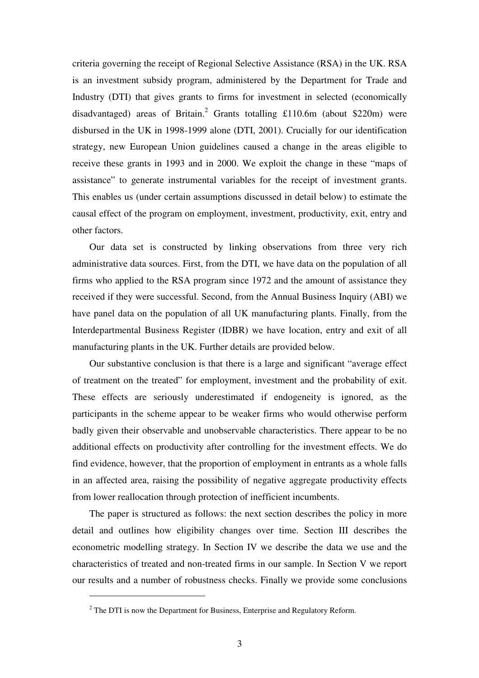criteria governing the receipt of Regional Selective Assistance (RSA) in the UK. RSA is an investment subsidy program, administered by the Department for Trade and Industry (DTI) that gives grants to firms for investment in selected (economically disadvantaged) areas of Britain.<sup>2</sup> Grants totalling £110.6m (about \$220m) were disbursed in the UK in 1998-1999 alone (DTI, 2001). Crucially for our identification strategy, new European Union guidelines caused a change in the areas eligible to receive these grants in 1993 and in 2000. We exploit the change in these "maps of assistance" to generate instrumental variables for the receipt of investment grants. This enables us (under certain assumptions discussed in detail below) to estimate the causal effect of the program on employment, investment, productivity, exit, entry and other factors.

Our data set is constructed by linking observations from three very rich administrative data sources. First, from the DTI, we have data on the population of all firms who applied to the RSA program since 1972 and the amount of assistance they received if they were successful. Second, from the Annual Business Inquiry (ABI) we have panel data on the population of all UK manufacturing plants. Finally, from the Interdepartmental Business Register (IDBR) we have location, entry and exit of all manufacturing plants in the UK. Further details are provided below.

Our substantive conclusion is that there is a large and significant "average effect of treatment on the treated" for employment, investment and the probability of exit. These effects are seriously underestimated if endogeneity is ignored, as the participants in the scheme appear to be weaker firms who would otherwise perform badly given their observable and unobservable characteristics. There appear to be no additional effects on productivity after controlling for the investment effects. We do find evidence, however, that the proportion of employment in entrants as a whole falls in an affected area, raising the possibility of negative aggregate productivity effects from lower reallocation through protection of inefficient incumbents.

The paper is structured as follows: the next section describes the policy in more detail and outlines how eligibility changes over time. Section III describes the econometric modelling strategy. In Section IV we describe the data we use and the characteristics of treated and non-treated firms in our sample. In Section V we report our results and a number of robustness checks. Finally we provide some conclusions

 $\overline{a}$ 

 $2^2$  The DTI is now the Department for Business, Enterprise and Regulatory Reform.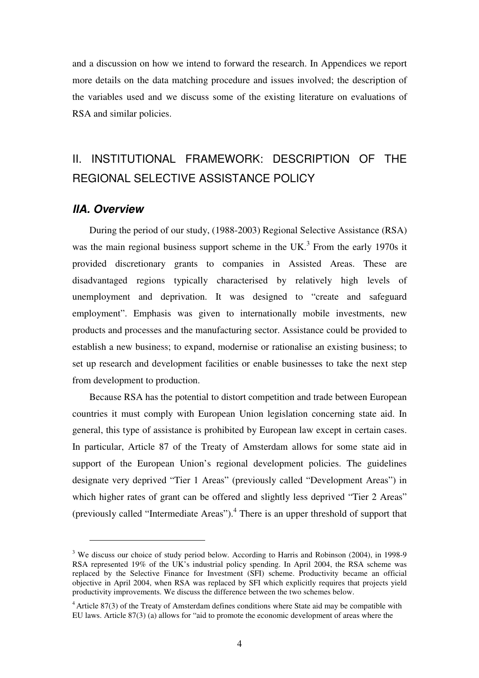and a discussion on how we intend to forward the research. In Appendices we report more details on the data matching procedure and issues involved; the description of the variables used and we discuss some of the existing literature on evaluations of RSA and similar policies.

## II. INSTITUTIONAL FRAMEWORK: DESCRIPTION OF THE REGIONAL SELECTIVE ASSISTANCE POLICY

## **IIA. Overview**

 $\overline{a}$ 

During the period of our study, (1988-2003) Regional Selective Assistance (RSA) was the main regional business support scheme in the UK.<sup>3</sup> From the early 1970s it provided discretionary grants to companies in Assisted Areas. These are disadvantaged regions typically characterised by relatively high levels of unemployment and deprivation. It was designed to "create and safeguard employment". Emphasis was given to internationally mobile investments, new products and processes and the manufacturing sector. Assistance could be provided to establish a new business; to expand, modernise or rationalise an existing business; to set up research and development facilities or enable businesses to take the next step from development to production.

Because RSA has the potential to distort competition and trade between European countries it must comply with European Union legislation concerning state aid. In general, this type of assistance is prohibited by European law except in certain cases. In particular, Article 87 of the Treaty of Amsterdam allows for some state aid in support of the European Union's regional development policies. The guidelines designate very deprived "Tier 1 Areas" (previously called "Development Areas") in which higher rates of grant can be offered and slightly less deprived "Tier 2 Areas" (previously called "Intermediate Areas").<sup>4</sup> There is an upper threshold of support that

<sup>&</sup>lt;sup>3</sup> We discuss our choice of study period below. According to Harris and Robinson (2004), in 1998-9 RSA represented 19% of the UK's industrial policy spending. In April 2004, the RSA scheme was replaced by the Selective Finance for Investment (SFI) scheme. Productivity became an official objective in April 2004, when RSA was replaced by SFI which explicitly requires that projects yield productivity improvements. We discuss the difference between the two schemes below.

<sup>&</sup>lt;sup>4</sup> Article 87(3) of the Treaty of Amsterdam defines conditions where State aid may be compatible with EU laws. Article 87(3) (a) allows for "aid to promote the economic development of areas where the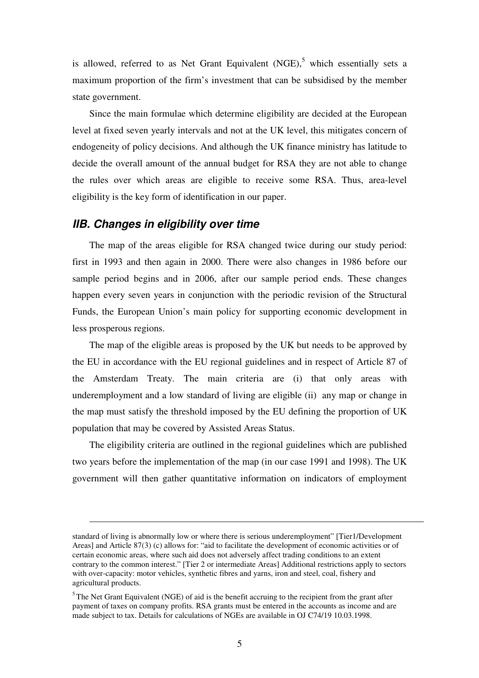is allowed, referred to as Net Grant Equivalent (NGE),<sup>5</sup> which essentially sets a maximum proportion of the firm's investment that can be subsidised by the member state government.

Since the main formulae which determine eligibility are decided at the European level at fixed seven yearly intervals and not at the UK level, this mitigates concern of endogeneity of policy decisions. And although the UK finance ministry has latitude to decide the overall amount of the annual budget for RSA they are not able to change the rules over which areas are eligible to receive some RSA. Thus, area-level eligibility is the key form of identification in our paper.

## **IIB. Changes in eligibility over time**

 $\overline{a}$ 

The map of the areas eligible for RSA changed twice during our study period: first in 1993 and then again in 2000. There were also changes in 1986 before our sample period begins and in 2006, after our sample period ends. These changes happen every seven years in conjunction with the periodic revision of the Structural Funds, the European Union's main policy for supporting economic development in less prosperous regions.

The map of the eligible areas is proposed by the UK but needs to be approved by the EU in accordance with the EU regional guidelines and in respect of Article 87 of the Amsterdam Treaty. The main criteria are (i) that only areas with underemployment and a low standard of living are eligible (ii) any map or change in the map must satisfy the threshold imposed by the EU defining the proportion of UK population that may be covered by Assisted Areas Status.

The eligibility criteria are outlined in the regional guidelines which are published two years before the implementation of the map (in our case 1991 and 1998). The UK government will then gather quantitative information on indicators of employment

standard of living is abnormally low or where there is serious underemployment" [Tier1/Development Areas] and Article 87(3) (c) allows for: "aid to facilitate the development of economic activities or of certain economic areas, where such aid does not adversely affect trading conditions to an extent contrary to the common interest." [Tier 2 or intermediate Areas] Additional restrictions apply to sectors with over-capacity: motor vehicles, synthetic fibres and yarns, iron and steel, coal, fishery and agricultural products.

 $<sup>5</sup>$ The Net Grant Equivalent (NGE) of aid is the benefit accruing to the recipient from the grant after</sup> payment of taxes on company profits. RSA grants must be entered in the accounts as income and are made subject to tax. Details for calculations of NGEs are available in OJ C74/19 10.03.1998.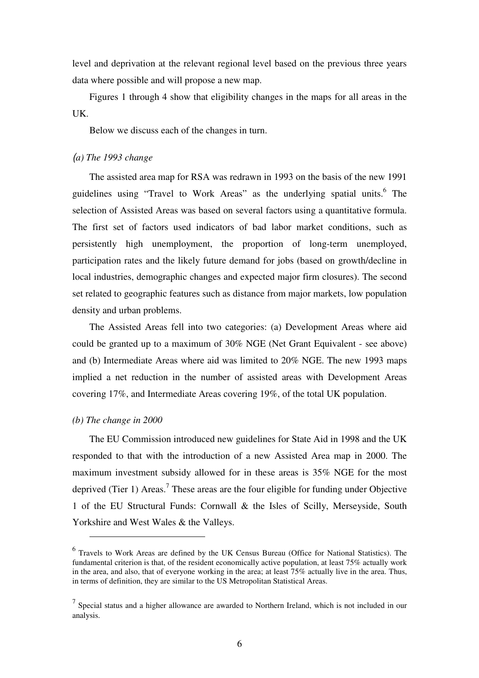level and deprivation at the relevant regional level based on the previous three years data where possible and will propose a new map.

Figures 1 through 4 show that eligibility changes in the maps for all areas in the UK.

Below we discuss each of the changes in turn.

#### (*a) The 1993 change*

The assisted area map for RSA was redrawn in 1993 on the basis of the new 1991 guidelines using "Travel to Work Areas" as the underlying spatial units.<sup>6</sup> The selection of Assisted Areas was based on several factors using a quantitative formula. The first set of factors used indicators of bad labor market conditions, such as persistently high unemployment, the proportion of long-term unemployed, participation rates and the likely future demand for jobs (based on growth/decline in local industries, demographic changes and expected major firm closures). The second set related to geographic features such as distance from major markets, low population density and urban problems.

The Assisted Areas fell into two categories: (a) Development Areas where aid could be granted up to a maximum of 30% NGE (Net Grant Equivalent - see above) and (b) Intermediate Areas where aid was limited to 20% NGE. The new 1993 maps implied a net reduction in the number of assisted areas with Development Areas covering 17%, and Intermediate Areas covering 19%, of the total UK population.

#### *(b) The change in 2000*

 $\overline{a}$ 

The EU Commission introduced new guidelines for State Aid in 1998 and the UK responded to that with the introduction of a new Assisted Area map in 2000. The maximum investment subsidy allowed for in these areas is 35% NGE for the most deprived (Tier 1) Areas.<sup>7</sup> These areas are the four eligible for funding under Objective 1 of the EU Structural Funds: Cornwall & the Isles of Scilly, Merseyside, South Yorkshire and West Wales & the Valleys.

<sup>&</sup>lt;sup>6</sup> Travels to Work Areas are defined by the UK Census Bureau (Office for National Statistics). The fundamental criterion is that, of the resident economically active population, at least 75% actually work in the area, and also, that of everyone working in the area; at least 75% actually live in the area. Thus, in terms of definition, they are similar to the US Metropolitan Statistical Areas.

 $<sup>7</sup>$  Special status and a higher allowance are awarded to Northern Ireland, which is not included in our</sup> analysis.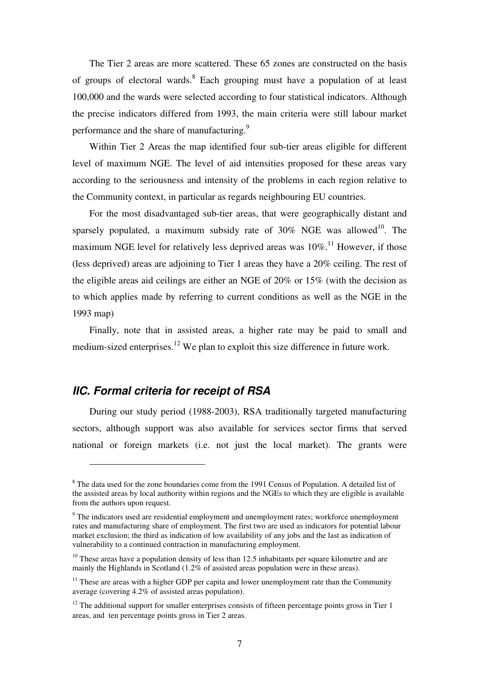The Tier 2 areas are more scattered. These 65 zones are constructed on the basis of groups of electoral wards.<sup>8</sup> Each grouping must have a population of at least 100,000 and the wards were selected according to four statistical indicators. Although the precise indicators differed from 1993, the main criteria were still labour market performance and the share of manufacturing.<sup>9</sup>

Within Tier 2 Areas the map identified four sub-tier areas eligible for different level of maximum NGE. The level of aid intensities proposed for these areas vary according to the seriousness and intensity of the problems in each region relative to the Community context, in particular as regards neighbouring EU countries.

For the most disadvantaged sub-tier areas, that were geographically distant and sparsely populated, a maximum subsidy rate of  $30\%$  NGE was allowed<sup>10</sup>. The maximum NGE level for relatively less deprived areas was  $10\%$ .<sup>11</sup> However, if those (less deprived) areas are adjoining to Tier 1 areas they have a 20% ceiling. The rest of the eligible areas aid ceilings are either an NGE of 20% or 15% (with the decision as to which applies made by referring to current conditions as well as the NGE in the 1993 map)

Finally, note that in assisted areas, a higher rate may be paid to small and medium-sized enterprises.<sup>12</sup> We plan to exploit this size difference in future work.

## **IIC. Formal criteria for receipt of RSA**

 $\overline{a}$ 

During our study period (1988-2003), RSA traditionally targeted manufacturing sectors, although support was also available for services sector firms that served national or foreign markets (i.e. not just the local market). The grants were

<sup>&</sup>lt;sup>8</sup> The data used for the zone boundaries come from the 1991 Census of Population. A detailed list of the assisted areas by local authority within regions and the NGEs to which they are eligible is available from the authors upon request.

<sup>&</sup>lt;sup>9</sup> The indicators used are residential employment and unemployment rates; workforce unemployment rates and manufacturing share of employment. The first two are used as indicators for potential labour market exclusion; the third as indication of low availability of any jobs and the last as indication of vulnerability to a continued contraction in manufacturing employment.

 $10$  These areas have a population density of less than 12.5 inhabitants per square kilometre and are mainly the Highlands in Scotland (1.2% of assisted areas population were in these areas).

 $11$  These are areas with a higher GDP per capita and lower unemployment rate than the Community average (covering 4.2% of assisted areas population).

 $12$  The additional support for smaller enterprises consists of fifteen percentage points gross in Tier 1 areas, and ten percentage points gross in Tier 2 areas.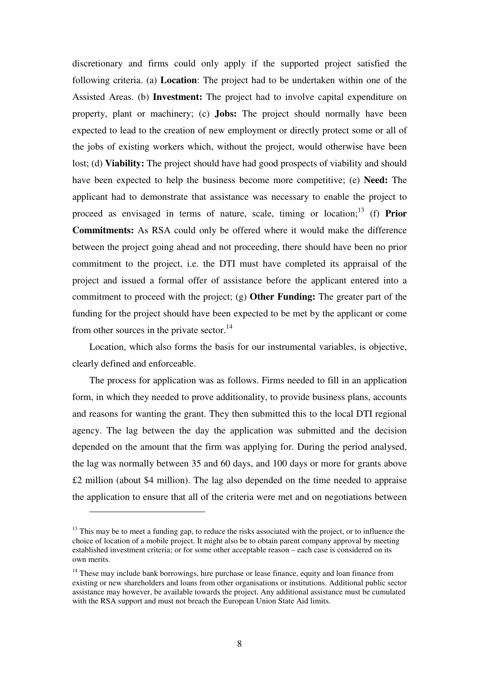discretionary and firms could only apply if the supported project satisfied the following criteria. (a) **Location**: The project had to be undertaken within one of the Assisted Areas. (b) **Investment:** The project had to involve capital expenditure on property, plant or machinery; (c) **Jobs:** The project should normally have been expected to lead to the creation of new employment or directly protect some or all of the jobs of existing workers which, without the project, would otherwise have been lost; (d) **Viability:** The project should have had good prospects of viability and should have been expected to help the business become more competitive; (e) **Need:** The applicant had to demonstrate that assistance was necessary to enable the project to proceed as envisaged in terms of nature, scale, timing or location;<sup>13</sup> (f) **Prior Commitments:** As RSA could only be offered where it would make the difference between the project going ahead and not proceeding, there should have been no prior commitment to the project, i.e. the DTI must have completed its appraisal of the project and issued a formal offer of assistance before the applicant entered into a commitment to proceed with the project; (g) **Other Funding:** The greater part of the funding for the project should have been expected to be met by the applicant or come from other sources in the private sector. $14$ 

Location, which also forms the basis for our instrumental variables, is objective, clearly defined and enforceable.

The process for application was as follows. Firms needed to fill in an application form, in which they needed to prove additionality, to provide business plans, accounts and reasons for wanting the grant. They then submitted this to the local DTI regional agency. The lag between the day the application was submitted and the decision depended on the amount that the firm was applying for. During the period analysed, the lag was normally between 35 and 60 days, and 100 days or more for grants above £2 million (about \$4 million). The lag also depended on the time needed to appraise the application to ensure that all of the criteria were met and on negotiations between

 $\overline{a}$ 

<sup>&</sup>lt;sup>13</sup> This may be to meet a funding gap, to reduce the risks associated with the project, or to influence the choice of location of a mobile project. It might also be to obtain parent company approval by meeting established investment criteria; or for some other acceptable reason – each case is considered on its own merits.

<sup>&</sup>lt;sup>14</sup> These may include bank borrowings, hire purchase or lease finance, equity and loan finance from existing or new shareholders and loans from other organisations or institutions. Additional public sector assistance may however, be available towards the project. Any additional assistance must be cumulated with the RSA support and must not breach the European Union State Aid limits.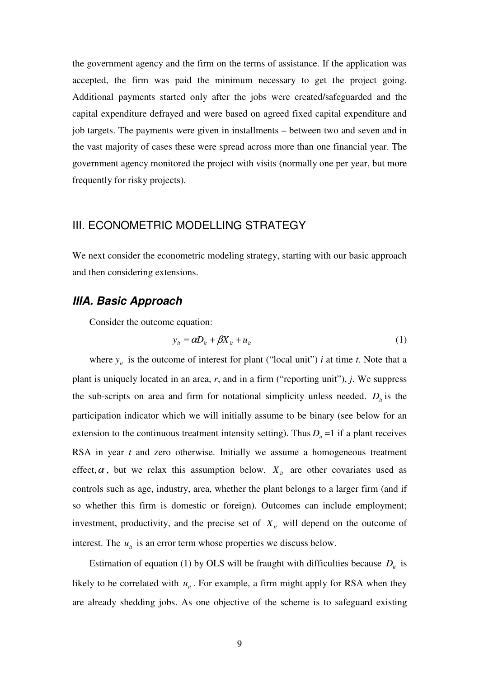the government agency and the firm on the terms of assistance. If the application was accepted, the firm was paid the minimum necessary to get the project going. Additional payments started only after the jobs were created/safeguarded and the capital expenditure defrayed and were based on agreed fixed capital expenditure and job targets. The payments were given in installments – between two and seven and in the vast majority of cases these were spread across more than one financial year. The government agency monitored the project with visits (normally one per year, but more frequently for risky projects).

## III. ECONOMETRIC MODELLING STRATEGY

We next consider the econometric modeling strategy, starting with our basic approach and then considering extensions.

## **IIIA. Basic Approach**

Consider the outcome equation:

$$
y_{it} = \alpha D_{it} + \beta X_{it} + u_{it} \tag{1}
$$

where  $y_i$  is the outcome of interest for plant ("local unit") *i* at time *t*. Note that a plant is uniquely located in an area, *r*, and in a firm ("reporting unit"), *j*. We suppress the sub-scripts on area and firm for notational simplicity unless needed.  $D_i$  is the participation indicator which we will initially assume to be binary (see below for an extension to the continuous treatment intensity setting). Thus  $D_i = 1$  if a plant receives RSA in year *t* and zero otherwise. Initially we assume a homogeneous treatment effect,  $\alpha$ , but we relax this assumption below.  $X_i$  are other covariates used as controls such as age, industry, area, whether the plant belongs to a larger firm (and if so whether this firm is domestic or foreign). Outcomes can include employment; investment, productivity, and the precise set of  $X_i$  will depend on the outcome of interest. The  $u_{it}$  is an error term whose properties we discuss below.

Estimation of equation (1) by OLS will be fraught with difficulties because  $D_i$  is likely to be correlated with  $u_{it}$ . For example, a firm might apply for RSA when they are already shedding jobs. As one objective of the scheme is to safeguard existing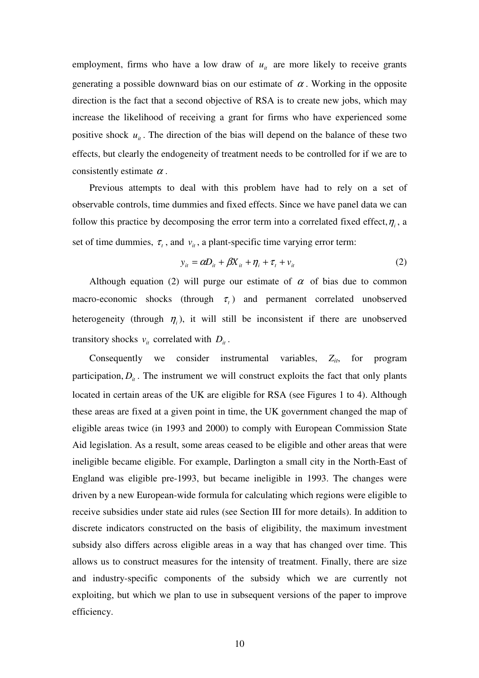employment, firms who have a low draw of  $u_{it}$  are more likely to receive grants generating a possible downward bias on our estimate of  $\alpha$ . Working in the opposite direction is the fact that a second objective of RSA is to create new jobs, which may increase the likelihood of receiving a grant for firms who have experienced some positive shock  $u_{it}$ . The direction of the bias will depend on the balance of these two effects, but clearly the endogeneity of treatment needs to be controlled for if we are to consistently estimate  $\alpha$ .

Previous attempts to deal with this problem have had to rely on a set of observable controls, time dummies and fixed effects. Since we have panel data we can follow this practice by decomposing the error term into a correlated fixed effect,  $\eta$ <sub>i</sub>, a set of time dummies,  $\tau_t$ , and  $v_u$ , a plant-specific time varying error term:

$$
y_{it} = \alpha D_{it} + \beta X_{it} + \eta_i + \tau_t + \nu_{it}
$$
 (2)

Although equation (2) will purge our estimate of  $\alpha$  of bias due to common macro-economic shocks (through  $\tau$ <sub>t</sub>) and permanent correlated unobserved heterogeneity (through  $\eta$ <sub>i</sub>), it will still be inconsistent if there are unobserved transitory shocks  $v_i$  correlated with  $D_i$ .

Consequently we consider instrumental variables,  $Z_{it}$ , for program participation,  $D_i$ . The instrument we will construct exploits the fact that only plants located in certain areas of the UK are eligible for RSA (see Figures 1 to 4). Although these areas are fixed at a given point in time, the UK government changed the map of eligible areas twice (in 1993 and 2000) to comply with European Commission State Aid legislation. As a result, some areas ceased to be eligible and other areas that were ineligible became eligible. For example, Darlington a small city in the North-East of England was eligible pre-1993, but became ineligible in 1993. The changes were driven by a new European-wide formula for calculating which regions were eligible to receive subsidies under state aid rules (see Section III for more details). In addition to discrete indicators constructed on the basis of eligibility, the maximum investment subsidy also differs across eligible areas in a way that has changed over time. This allows us to construct measures for the intensity of treatment. Finally, there are size and industry-specific components of the subsidy which we are currently not exploiting, but which we plan to use in subsequent versions of the paper to improve efficiency.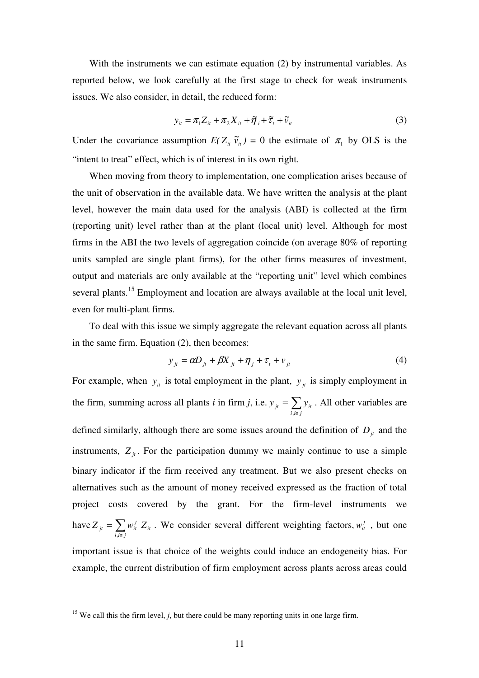With the instruments we can estimate equation (2) by instrumental variables. As reported below, we look carefully at the first stage to check for weak instruments issues. We also consider, in detail, the reduced form:

$$
y_{ii} = \pi_1 Z_{ii} + \pi_2 X_{ii} + \tilde{\eta}_i + \tilde{\tau}_i + \tilde{\nu}_i
$$
 (3)

Under the covariance assumption  $E(Z_i, \tilde{v}_i) = 0$  the estimate of  $\pi_1$  by OLS is the "intent to treat" effect, which is of interest in its own right.

When moving from theory to implementation, one complication arises because of the unit of observation in the available data. We have written the analysis at the plant level, however the main data used for the analysis (ABI) is collected at the firm (reporting unit) level rather than at the plant (local unit) level. Although for most firms in the ABI the two levels of aggregation coincide (on average 80% of reporting units sampled are single plant firms), for the other firms measures of investment, output and materials are only available at the "reporting unit" level which combines several plants.<sup>15</sup> Employment and location are always available at the local unit level, even for multi-plant firms.

To deal with this issue we simply aggregate the relevant equation across all plants in the same firm. Equation (2), then becomes:

$$
y_{jt} = \alpha D_{jt} + \beta X_{jt} + \eta_j + \tau_t + \nu_{jt}
$$
\n<sup>(4)</sup>

For example, when  $y_i$  is total employment in the plant,  $y_i$  is simply employment in the firm, summing across all plants *i* in firm *j*, i.e.  $y_{ji} = \sum$ ∈ = *i*,*i*∈ *j*  $y_{jt} = \sum y_{it}$ , . All other variables are defined similarly, although there are some issues around the definition of  $D_i$  and the instruments,  $Z_{it}$ . For the participation dummy we mainly continue to use a simple binary indicator if the firm received any treatment. But we also present checks on alternatives such as the amount of money received expressed as the fraction of total project costs covered by the grant. For the firm-level instruments we have  $Z_{it} = \sum$ ∈ =  $i, i \in j$ *it*  $Z_{jt} = \sum w_{it}^j Z$ , . We consider several different weighting factors,  $w_i^j$ , but one important issue is that choice of the weights could induce an endogeneity bias. For example, the current distribution of firm employment across plants across areas could

 $\overline{a}$ 

<sup>&</sup>lt;sup>15</sup> We call this the firm level,  $j$ , but there could be many reporting units in one large firm.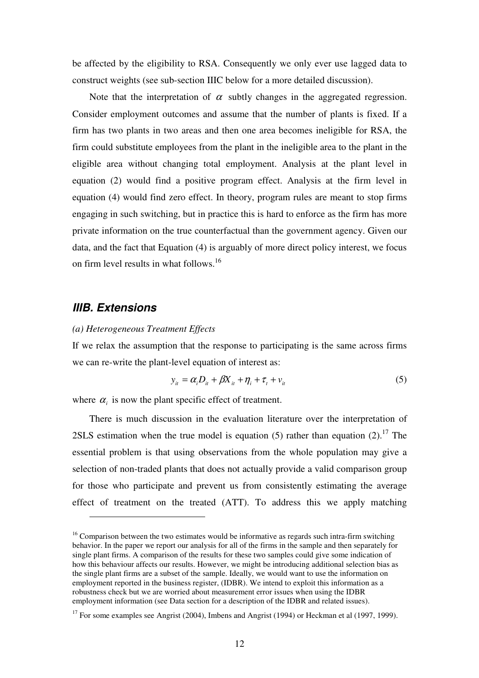be affected by the eligibility to RSA. Consequently we only ever use lagged data to construct weights (see sub-section IIIC below for a more detailed discussion).

Note that the interpretation of  $\alpha$  subtly changes in the aggregated regression. Consider employment outcomes and assume that the number of plants is fixed. If a firm has two plants in two areas and then one area becomes ineligible for RSA, the firm could substitute employees from the plant in the ineligible area to the plant in the eligible area without changing total employment. Analysis at the plant level in equation (2) would find a positive program effect. Analysis at the firm level in equation (4) would find zero effect. In theory, program rules are meant to stop firms engaging in such switching, but in practice this is hard to enforce as the firm has more private information on the true counterfactual than the government agency. Given our data, and the fact that Equation (4) is arguably of more direct policy interest, we focus on firm level results in what follows.<sup>16</sup>

## **IIIB. Extensions**

 $\overline{a}$ 

#### *(a) Heterogeneous Treatment Effects*

If we relax the assumption that the response to participating is the same across firms we can re-write the plant-level equation of interest as:

$$
y_{it} = \alpha_i D_{it} + \beta X_{it} + \eta_i + \tau_t + \nu_{it}
$$
\n<sup>(5)</sup>

where  $\alpha_i$  is now the plant specific effect of treatment.

There is much discussion in the evaluation literature over the interpretation of 2SLS estimation when the true model is equation (5) rather than equation  $(2)$ .<sup>17</sup> The essential problem is that using observations from the whole population may give a selection of non-traded plants that does not actually provide a valid comparison group for those who participate and prevent us from consistently estimating the average effect of treatment on the treated (ATT). To address this we apply matching

 $16$  Comparison between the two estimates would be informative as regards such intra-firm switching behavior. In the paper we report our analysis for all of the firms in the sample and then separately for single plant firms. A comparison of the results for these two samples could give some indication of how this behaviour affects our results. However, we might be introducing additional selection bias as the single plant firms are a subset of the sample. Ideally, we would want to use the information on employment reported in the business register, (IDBR). We intend to exploit this information as a robustness check but we are worried about measurement error issues when using the IDBR employment information (see Data section for a description of the IDBR and related issues).

<sup>&</sup>lt;sup>17</sup> For some examples see Angrist (2004), Imbens and Angrist (1994) or Heckman et al (1997, 1999).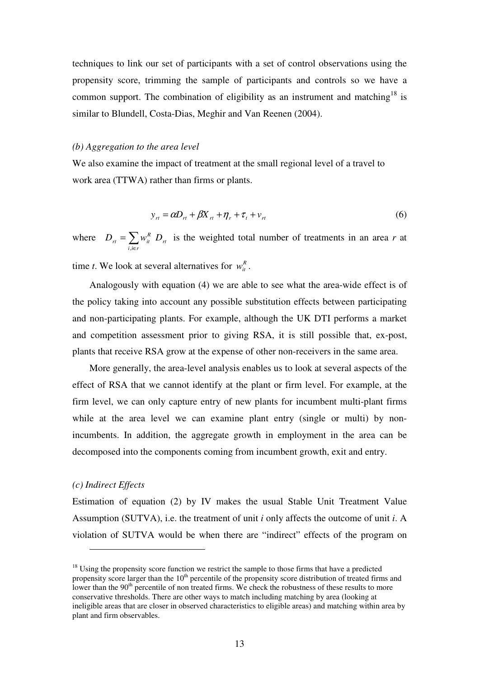techniques to link our set of participants with a set of control observations using the propensity score, trimming the sample of participants and controls so we have a common support. The combination of eligibility as an instrument and matching<sup>18</sup> is similar to Blundell, Costa-Dias, Meghir and Van Reenen (2004).

#### *(b) Aggregation to the area level*

We also examine the impact of treatment at the small regional level of a travel to work area (TTWA) rather than firms or plants.

$$
y_{rt} = \alpha D_{rt} + \beta X_{rt} + \eta_r + \tau_t + v_{rt}
$$
\n
$$
\tag{6}
$$

where  $D_{rt} = \sum$ ∈ = *i*,*i*∈*r*  $D_{\scriptscriptstyle rt} = \sum w^{\scriptscriptstyle R}_{\scriptscriptstyle it} \,\, D_{\scriptscriptstyle rt}$ , is the weighted total number of treatments in an area *r* at time *t*. We look at several alternatives for  $w_i^R$ .

Analogously with equation (4) we are able to see what the area-wide effect is of the policy taking into account any possible substitution effects between participating and non-participating plants. For example, although the UK DTI performs a market and competition assessment prior to giving RSA, it is still possible that, ex-post, plants that receive RSA grow at the expense of other non-receivers in the same area.

More generally, the area-level analysis enables us to look at several aspects of the effect of RSA that we cannot identify at the plant or firm level. For example, at the firm level, we can only capture entry of new plants for incumbent multi-plant firms while at the area level we can examine plant entry (single or multi) by nonincumbents. In addition, the aggregate growth in employment in the area can be decomposed into the components coming from incumbent growth, exit and entry.

#### *(c) Indirect Effects*

 $\overline{a}$ 

Estimation of equation (2) by IV makes the usual Stable Unit Treatment Value Assumption (SUTVA), i.e. the treatment of unit *i* only affects the outcome of unit *i*. A violation of SUTVA would be when there are "indirect" effects of the program on

<sup>&</sup>lt;sup>18</sup> Using the propensity score function we restrict the sample to those firms that have a predicted propensity score larger than the  $10<sup>th</sup>$  percentile of the propensity score distribution of treated firms and lower than the 90<sup>th</sup> percentile of non treated firms. We check the robustness of these results to more conservative thresholds. There are other ways to match including matching by area (looking at ineligible areas that are closer in observed characteristics to eligible areas) and matching within area by plant and firm observables.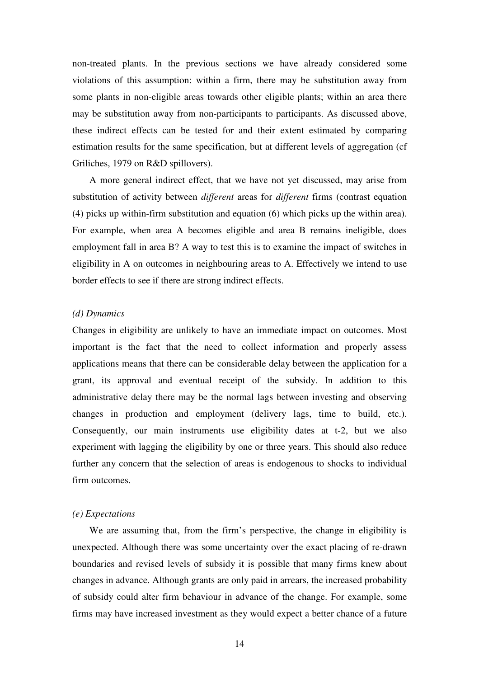non-treated plants. In the previous sections we have already considered some violations of this assumption: within a firm, there may be substitution away from some plants in non-eligible areas towards other eligible plants; within an area there may be substitution away from non-participants to participants. As discussed above, these indirect effects can be tested for and their extent estimated by comparing estimation results for the same specification, but at different levels of aggregation (cf Griliches, 1979 on R&D spillovers).

A more general indirect effect, that we have not yet discussed, may arise from substitution of activity between *different* areas for *different* firms (contrast equation (4) picks up within-firm substitution and equation (6) which picks up the within area). For example, when area A becomes eligible and area B remains ineligible, does employment fall in area B? A way to test this is to examine the impact of switches in eligibility in A on outcomes in neighbouring areas to A. Effectively we intend to use border effects to see if there are strong indirect effects.

#### *(d) Dynamics*

Changes in eligibility are unlikely to have an immediate impact on outcomes. Most important is the fact that the need to collect information and properly assess applications means that there can be considerable delay between the application for a grant, its approval and eventual receipt of the subsidy. In addition to this administrative delay there may be the normal lags between investing and observing changes in production and employment (delivery lags, time to build, etc.). Consequently, our main instruments use eligibility dates at t-2, but we also experiment with lagging the eligibility by one or three years. This should also reduce further any concern that the selection of areas is endogenous to shocks to individual firm outcomes.

#### *(e) Expectations*

We are assuming that, from the firm's perspective, the change in eligibility is unexpected. Although there was some uncertainty over the exact placing of re-drawn boundaries and revised levels of subsidy it is possible that many firms knew about changes in advance. Although grants are only paid in arrears, the increased probability of subsidy could alter firm behaviour in advance of the change. For example, some firms may have increased investment as they would expect a better chance of a future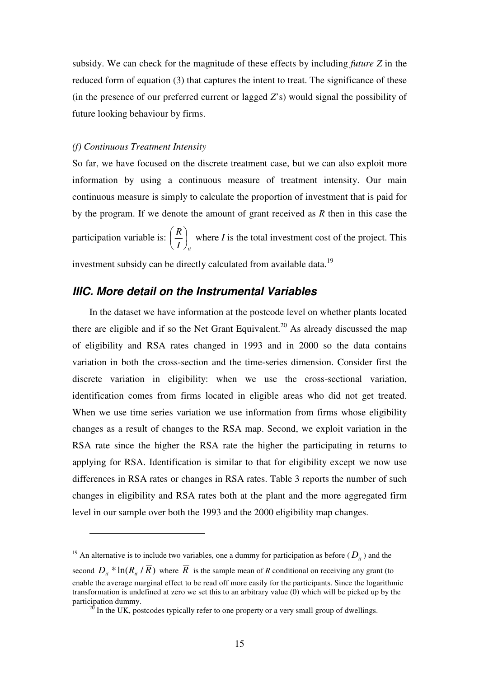subsidy. We can check for the magnitude of these effects by including *future Z* in the reduced form of equation (3) that captures the intent to treat. The significance of these (in the presence of our preferred current or lagged *Z*'s) would signal the possibility of future looking behaviour by firms.

#### *(f) Continuous Treatment Intensity*

 $\overline{a}$ 

So far, we have focused on the discrete treatment case, but we can also exploit more information by using a continuous measure of treatment intensity. Our main continuous measure is simply to calculate the proportion of investment that is paid for by the program. If we denote the amount of grant received as *R* then in this case the participation variable is:  $I$   $\int_{it}$ *R* J  $\left(\frac{R}{\pi}\right)$ J ſ where *I* is the total investment cost of the project. This investment subsidy can be directly calculated from available data.<sup>19</sup>

## **IIIC. More detail on the Instrumental Variables**

In the dataset we have information at the postcode level on whether plants located there are eligible and if so the Net Grant Equivalent.<sup>20</sup> As already discussed the map of eligibility and RSA rates changed in 1993 and in 2000 so the data contains variation in both the cross-section and the time-series dimension. Consider first the discrete variation in eligibility: when we use the cross-sectional variation, identification comes from firms located in eligible areas who did not get treated. When we use time series variation we use information from firms whose eligibility changes as a result of changes to the RSA map. Second, we exploit variation in the RSA rate since the higher the RSA rate the higher the participating in returns to applying for RSA. Identification is similar to that for eligibility except we now use differences in RSA rates or changes in RSA rates. Table 3 reports the number of such changes in eligibility and RSA rates both at the plant and the more aggregated firm level in our sample over both the 1993 and the 2000 eligibility map changes.

<sup>&</sup>lt;sup>19</sup> An alternative is to include two variables, one a dummy for participation as before  $(D_i)$  and the

second  $D_{ii} * ln(R_{ii} / R)$  where *R* is the sample mean of *R* conditional on receiving any grant (to enable the average marginal effect to be read off more easily for the participants. Since the logarithmic transformation is undefined at zero we set this to an arbitrary value (0) which will be picked up by the participation dummy.

 $20$  In the UK, postcodes typically refer to one property or a very small group of dwellings.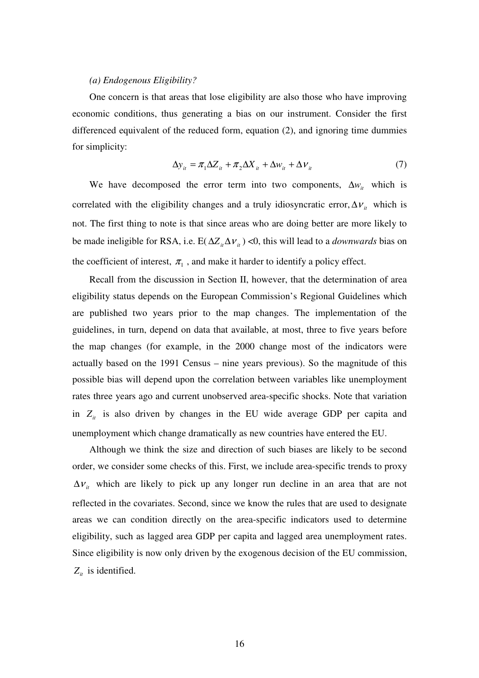#### *(a) Endogenous Eligibility?*

One concern is that areas that lose eligibility are also those who have improving economic conditions, thus generating a bias on our instrument. Consider the first differenced equivalent of the reduced form, equation (2), and ignoring time dummies for simplicity:

$$
\Delta y_{it} = \pi_1 \Delta Z_{it} + \pi_2 \Delta X_{it} + \Delta w_{it} + \Delta V_{it}
$$
\n(7)

We have decomposed the error term into two components,  $\Delta w_i$  which is correlated with the eligibility changes and a truly idiosyncratic error,  $\Delta v_i$  which is not. The first thing to note is that since areas who are doing better are more likely to be made ineligible for RSA, i.e. E( $\Delta Z_i \Delta V_i$ ) <0, this will lead to a *downwards* bias on the coefficient of interest,  $\pi_1$ , and make it harder to identify a policy effect.

Recall from the discussion in Section II, however, that the determination of area eligibility status depends on the European Commission's Regional Guidelines which are published two years prior to the map changes. The implementation of the guidelines, in turn, depend on data that available, at most, three to five years before the map changes (for example, in the 2000 change most of the indicators were actually based on the 1991 Census – nine years previous). So the magnitude of this possible bias will depend upon the correlation between variables like unemployment rates three years ago and current unobserved area-specific shocks. Note that variation in  $Z_i$  is also driven by changes in the EU wide average GDP per capita and unemployment which change dramatically as new countries have entered the EU.

Although we think the size and direction of such biases are likely to be second order, we consider some checks of this. First, we include area-specific trends to proxy  $\Delta v_i$  which are likely to pick up any longer run decline in an area that are not reflected in the covariates. Second, since we know the rules that are used to designate areas we can condition directly on the area-specific indicators used to determine eligibility, such as lagged area GDP per capita and lagged area unemployment rates. Since eligibility is now only driven by the exogenous decision of the EU commission,  $Z_{it}$  is identified.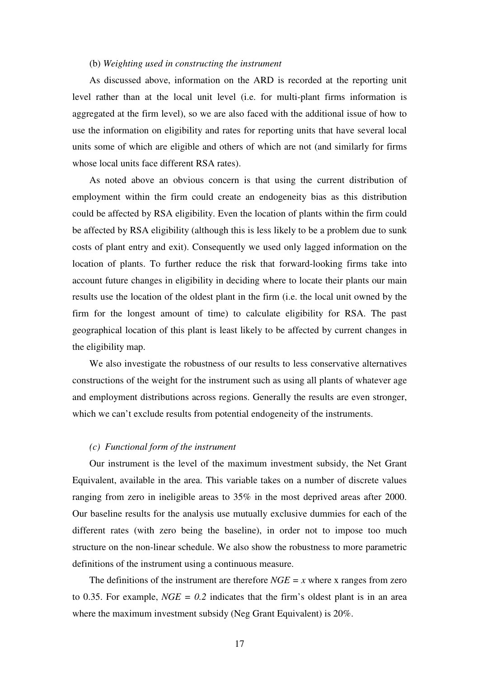#### (b) *Weighting used in constructing the instrument*

As discussed above, information on the ARD is recorded at the reporting unit level rather than at the local unit level (i.e. for multi-plant firms information is aggregated at the firm level), so we are also faced with the additional issue of how to use the information on eligibility and rates for reporting units that have several local units some of which are eligible and others of which are not (and similarly for firms whose local units face different RSA rates).

As noted above an obvious concern is that using the current distribution of employment within the firm could create an endogeneity bias as this distribution could be affected by RSA eligibility. Even the location of plants within the firm could be affected by RSA eligibility (although this is less likely to be a problem due to sunk costs of plant entry and exit). Consequently we used only lagged information on the location of plants. To further reduce the risk that forward-looking firms take into account future changes in eligibility in deciding where to locate their plants our main results use the location of the oldest plant in the firm (i.e. the local unit owned by the firm for the longest amount of time) to calculate eligibility for RSA. The past geographical location of this plant is least likely to be affected by current changes in the eligibility map.

We also investigate the robustness of our results to less conservative alternatives constructions of the weight for the instrument such as using all plants of whatever age and employment distributions across regions. Generally the results are even stronger, which we can't exclude results from potential endogeneity of the instruments.

#### *(c) Functional form of the instrument*

Our instrument is the level of the maximum investment subsidy, the Net Grant Equivalent, available in the area. This variable takes on a number of discrete values ranging from zero in ineligible areas to 35% in the most deprived areas after 2000. Our baseline results for the analysis use mutually exclusive dummies for each of the different rates (with zero being the baseline), in order not to impose too much structure on the non-linear schedule. We also show the robustness to more parametric definitions of the instrument using a continuous measure.

The definitions of the instrument are therefore  $NGE = x$  where x ranges from zero to 0.35. For example,  $NGE = 0.2$  indicates that the firm's oldest plant is in an area where the maximum investment subsidy (Neg Grant Equivalent) is 20%.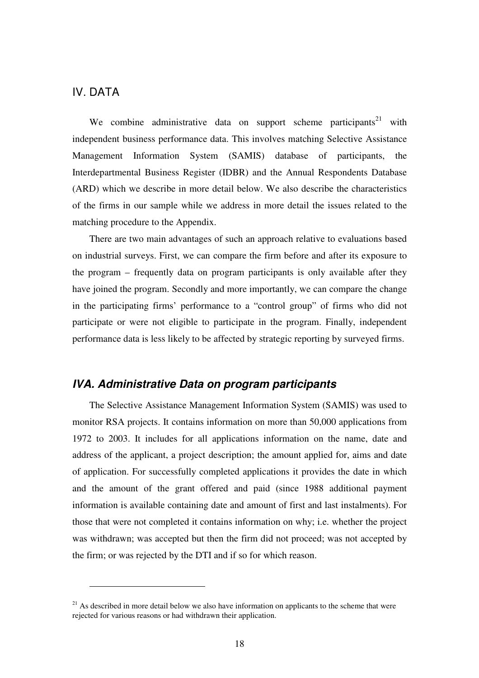## IV. DATA

 $\overline{a}$ 

We combine administrative data on support scheme participants<sup>21</sup> with independent business performance data. This involves matching Selective Assistance Management Information System (SAMIS) database of participants, the Interdepartmental Business Register (IDBR) and the Annual Respondents Database (ARD) which we describe in more detail below. We also describe the characteristics of the firms in our sample while we address in more detail the issues related to the matching procedure to the Appendix.

There are two main advantages of such an approach relative to evaluations based on industrial surveys. First, we can compare the firm before and after its exposure to the program – frequently data on program participants is only available after they have joined the program. Secondly and more importantly, we can compare the change in the participating firms' performance to a "control group" of firms who did not participate or were not eligible to participate in the program. Finally, independent performance data is less likely to be affected by strategic reporting by surveyed firms.

## **IVA. Administrative Data on program participants**

The Selective Assistance Management Information System (SAMIS) was used to monitor RSA projects. It contains information on more than 50,000 applications from 1972 to 2003. It includes for all applications information on the name, date and address of the applicant, a project description; the amount applied for, aims and date of application. For successfully completed applications it provides the date in which and the amount of the grant offered and paid (since 1988 additional payment information is available containing date and amount of first and last instalments). For those that were not completed it contains information on why; i.e. whether the project was withdrawn; was accepted but then the firm did not proceed; was not accepted by the firm; or was rejected by the DTI and if so for which reason.

 $21$  As described in more detail below we also have information on applicants to the scheme that were rejected for various reasons or had withdrawn their application.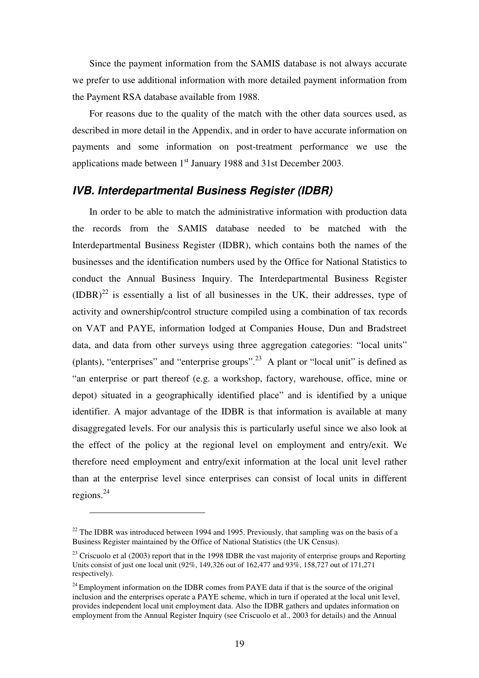Since the payment information from the SAMIS database is not always accurate we prefer to use additional information with more detailed payment information from the Payment RSA database available from 1988.

For reasons due to the quality of the match with the other data sources used, as described in more detail in the Appendix, and in order to have accurate information on payments and some information on post-treatment performance we use the applications made between 1<sup>st</sup> January 1988 and 31st December 2003.

## **IVB. Interdepartmental Business Register (IDBR)**

In order to be able to match the administrative information with production data the records from the SAMIS database needed to be matched with the Interdepartmental Business Register (IDBR), which contains both the names of the businesses and the identification numbers used by the Office for National Statistics to conduct the Annual Business Inquiry. The Interdepartmental Business Register  $(IDBR)<sup>22</sup>$  is essentially a list of all businesses in the UK, their addresses, type of activity and ownership/control structure compiled using a combination of tax records on VAT and PAYE, information lodged at Companies House, Dun and Bradstreet data, and data from other surveys using three aggregation categories: "local units" (plants), "enterprises" and "enterprise groups".<sup>23</sup> A plant or "local unit" is defined as "an enterprise or part thereof (e.g. a workshop, factory, warehouse, office, mine or depot) situated in a geographically identified place" and is identified by a unique identifier. A major advantage of the IDBR is that information is available at many disaggregated levels. For our analysis this is particularly useful since we also look at the effect of the policy at the regional level on employment and entry/exit. We therefore need employment and entry/exit information at the local unit level rather than at the enterprise level since enterprises can consist of local units in different regions. $^{24}$ 

 $\overline{a}$ 

 $22$  The IDBR was introduced between 1994 and 1995. Previously, that sampling was on the basis of a Business Register maintained by the Office of National Statistics (the UK Census).

<sup>&</sup>lt;sup>23</sup> Criscuolo et al (2003) report that in the 1998 IDBR the vast majority of enterprise groups and Reporting Units consist of just one local unit (92%, 149,326 out of 162,477 and 93%, 158,727 out of 171,271 respectively).

 $24$  Employment information on the IDBR comes from PAYE data if that is the source of the original inclusion and the enterprises operate a PAYE scheme, which in turn if operated at the local unit level, provides independent local unit employment data. Also the IDBR gathers and updates information on employment from the Annual Register Inquiry (see Criscuolo et al., 2003 for details) and the Annual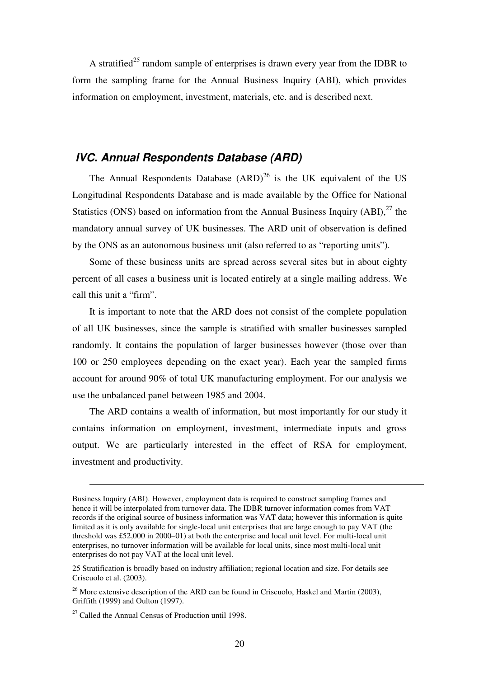A stratified<sup>25</sup> random sample of enterprises is drawn every year from the IDBR to form the sampling frame for the Annual Business Inquiry (ABI), which provides information on employment, investment, materials, etc. and is described next.

## **IVC. Annual Respondents Database (ARD)**

The Annual Respondents Database  $(ARD)^{26}$  is the UK equivalent of the US Longitudinal Respondents Database and is made available by the Office for National Statistics (ONS) based on information from the Annual Business Inquiry  $(ABI)$ ,<sup>27</sup> the mandatory annual survey of UK businesses. The ARD unit of observation is defined by the ONS as an autonomous business unit (also referred to as "reporting units").

Some of these business units are spread across several sites but in about eighty percent of all cases a business unit is located entirely at a single mailing address. We call this unit a "firm".

It is important to note that the ARD does not consist of the complete population of all UK businesses, since the sample is stratified with smaller businesses sampled randomly. It contains the population of larger businesses however (those over than 100 or 250 employees depending on the exact year). Each year the sampled firms account for around 90% of total UK manufacturing employment. For our analysis we use the unbalanced panel between 1985 and 2004.

The ARD contains a wealth of information, but most importantly for our study it contains information on employment, investment, intermediate inputs and gross output. We are particularly interested in the effect of RSA for employment, investment and productivity.

 $\overline{a}$ 

Business Inquiry (ABI). However, employment data is required to construct sampling frames and hence it will be interpolated from turnover data. The IDBR turnover information comes from VAT records if the original source of business information was VAT data; however this information is quite limited as it is only available for single-local unit enterprises that are large enough to pay VAT (the threshold was £52,000 in 2000–01) at both the enterprise and local unit level. For multi-local unit enterprises, no turnover information will be available for local units, since most multi-local unit enterprises do not pay VAT at the local unit level.

<sup>25</sup> Stratification is broadly based on industry affiliation; regional location and size. For details see Criscuolo et al. (2003).

 $^{26}$  More extensive description of the ARD can be found in Criscuolo, Haskel and Martin (2003), Griffith (1999) and Oulton (1997).

 $27$  Called the Annual Census of Production until 1998.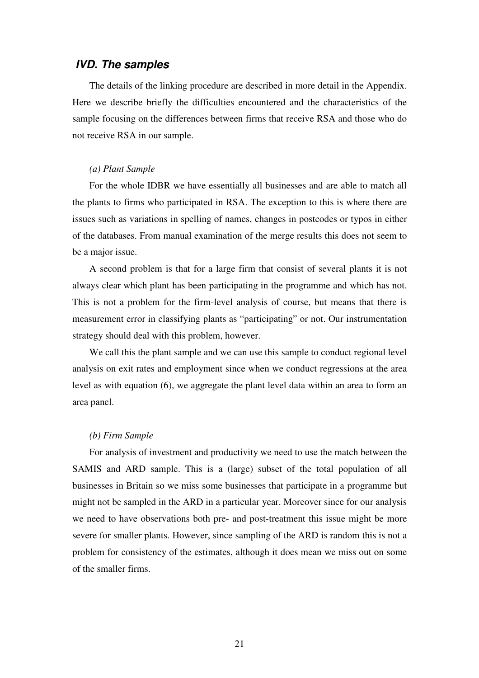## **IVD. The samples**

The details of the linking procedure are described in more detail in the Appendix. Here we describe briefly the difficulties encountered and the characteristics of the sample focusing on the differences between firms that receive RSA and those who do not receive RSA in our sample.

#### *(a) Plant Sample*

For the whole IDBR we have essentially all businesses and are able to match all the plants to firms who participated in RSA. The exception to this is where there are issues such as variations in spelling of names, changes in postcodes or typos in either of the databases. From manual examination of the merge results this does not seem to be a major issue.

A second problem is that for a large firm that consist of several plants it is not always clear which plant has been participating in the programme and which has not. This is not a problem for the firm-level analysis of course, but means that there is measurement error in classifying plants as "participating" or not. Our instrumentation strategy should deal with this problem, however.

We call this the plant sample and we can use this sample to conduct regional level analysis on exit rates and employment since when we conduct regressions at the area level as with equation (6), we aggregate the plant level data within an area to form an area panel.

#### *(b) Firm Sample*

For analysis of investment and productivity we need to use the match between the SAMIS and ARD sample. This is a (large) subset of the total population of all businesses in Britain so we miss some businesses that participate in a programme but might not be sampled in the ARD in a particular year. Moreover since for our analysis we need to have observations both pre- and post-treatment this issue might be more severe for smaller plants. However, since sampling of the ARD is random this is not a problem for consistency of the estimates, although it does mean we miss out on some of the smaller firms.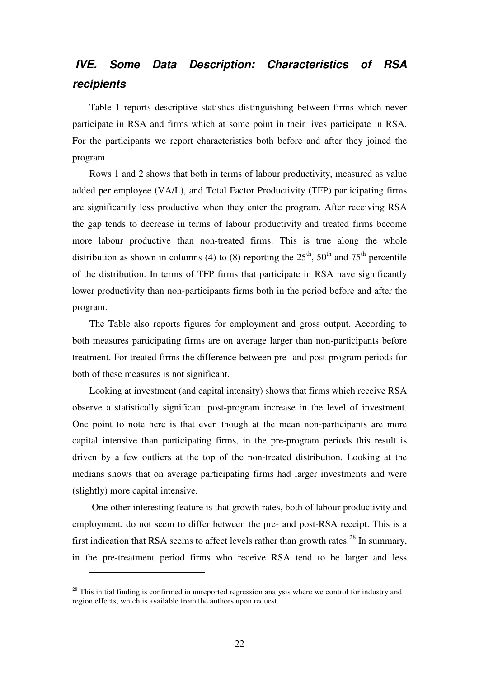## **IVE. Some Data Description: Characteristics of RSA recipients**

Table 1 reports descriptive statistics distinguishing between firms which never participate in RSA and firms which at some point in their lives participate in RSA. For the participants we report characteristics both before and after they joined the program.

Rows 1 and 2 shows that both in terms of labour productivity, measured as value added per employee (VA/L), and Total Factor Productivity (TFP) participating firms are significantly less productive when they enter the program. After receiving RSA the gap tends to decrease in terms of labour productivity and treated firms become more labour productive than non-treated firms. This is true along the whole distribution as shown in columns (4) to (8) reporting the  $25<sup>th</sup>$ ,  $50<sup>th</sup>$  and  $75<sup>th</sup>$  percentile of the distribution. In terms of TFP firms that participate in RSA have significantly lower productivity than non-participants firms both in the period before and after the program.

The Table also reports figures for employment and gross output. According to both measures participating firms are on average larger than non-participants before treatment. For treated firms the difference between pre- and post-program periods for both of these measures is not significant.

Looking at investment (and capital intensity) shows that firms which receive RSA observe a statistically significant post-program increase in the level of investment. One point to note here is that even though at the mean non-participants are more capital intensive than participating firms, in the pre-program periods this result is driven by a few outliers at the top of the non-treated distribution. Looking at the medians shows that on average participating firms had larger investments and were (slightly) more capital intensive.

 One other interesting feature is that growth rates, both of labour productivity and employment, do not seem to differ between the pre- and post-RSA receipt. This is a first indication that RSA seems to affect levels rather than growth rates.<sup>28</sup> In summary, in the pre-treatment period firms who receive RSA tend to be larger and less

 $\overline{a}$ 

 $28$  This initial finding is confirmed in unreported regression analysis where we control for industry and region effects, which is available from the authors upon request.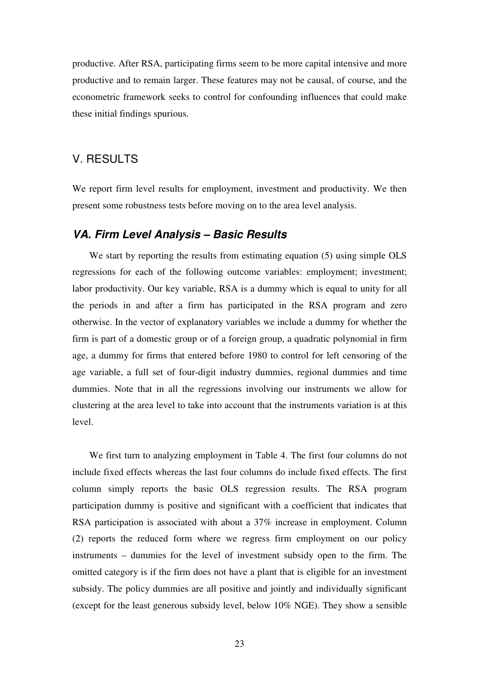productive. After RSA, participating firms seem to be more capital intensive and more productive and to remain larger. These features may not be causal, of course, and the econometric framework seeks to control for confounding influences that could make these initial findings spurious.

## V. RESULTS

We report firm level results for employment, investment and productivity. We then present some robustness tests before moving on to the area level analysis.

## **VA. Firm Level Analysis – Basic Results**

We start by reporting the results from estimating equation (5) using simple OLS regressions for each of the following outcome variables: employment; investment; labor productivity. Our key variable, RSA is a dummy which is equal to unity for all the periods in and after a firm has participated in the RSA program and zero otherwise. In the vector of explanatory variables we include a dummy for whether the firm is part of a domestic group or of a foreign group, a quadratic polynomial in firm age, a dummy for firms that entered before 1980 to control for left censoring of the age variable, a full set of four-digit industry dummies, regional dummies and time dummies. Note that in all the regressions involving our instruments we allow for clustering at the area level to take into account that the instruments variation is at this level.

We first turn to analyzing employment in Table 4. The first four columns do not include fixed effects whereas the last four columns do include fixed effects. The first column simply reports the basic OLS regression results. The RSA program participation dummy is positive and significant with a coefficient that indicates that RSA participation is associated with about a 37% increase in employment. Column (2) reports the reduced form where we regress firm employment on our policy instruments – dummies for the level of investment subsidy open to the firm. The omitted category is if the firm does not have a plant that is eligible for an investment subsidy. The policy dummies are all positive and jointly and individually significant (except for the least generous subsidy level, below 10% NGE). They show a sensible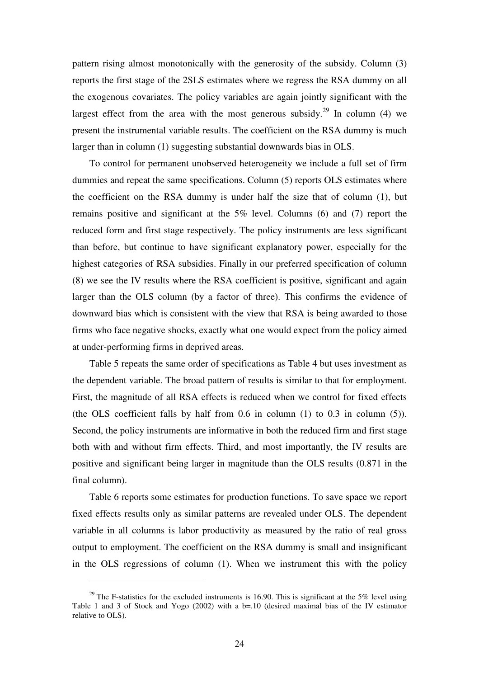pattern rising almost monotonically with the generosity of the subsidy. Column (3) reports the first stage of the 2SLS estimates where we regress the RSA dummy on all the exogenous covariates. The policy variables are again jointly significant with the largest effect from the area with the most generous subsidy.<sup>29</sup> In column (4) we present the instrumental variable results. The coefficient on the RSA dummy is much larger than in column (1) suggesting substantial downwards bias in OLS.

To control for permanent unobserved heterogeneity we include a full set of firm dummies and repeat the same specifications. Column (5) reports OLS estimates where the coefficient on the RSA dummy is under half the size that of column (1), but remains positive and significant at the 5% level. Columns (6) and (7) report the reduced form and first stage respectively. The policy instruments are less significant than before, but continue to have significant explanatory power, especially for the highest categories of RSA subsidies. Finally in our preferred specification of column (8) we see the IV results where the RSA coefficient is positive, significant and again larger than the OLS column (by a factor of three). This confirms the evidence of downward bias which is consistent with the view that RSA is being awarded to those firms who face negative shocks, exactly what one would expect from the policy aimed at under-performing firms in deprived areas.

Table 5 repeats the same order of specifications as Table 4 but uses investment as the dependent variable. The broad pattern of results is similar to that for employment. First, the magnitude of all RSA effects is reduced when we control for fixed effects (the OLS coefficient falls by half from  $0.6$  in column  $(1)$  to  $0.3$  in column  $(5)$ ). Second, the policy instruments are informative in both the reduced firm and first stage both with and without firm effects. Third, and most importantly, the IV results are positive and significant being larger in magnitude than the OLS results (0.871 in the final column).

Table 6 reports some estimates for production functions. To save space we report fixed effects results only as similar patterns are revealed under OLS. The dependent variable in all columns is labor productivity as measured by the ratio of real gross output to employment. The coefficient on the RSA dummy is small and insignificant in the OLS regressions of column (1). When we instrument this with the policy

 $\overline{a}$ 

<sup>&</sup>lt;sup>29</sup> The F-statistics for the excluded instruments is 16.90. This is significant at the 5% level using Table 1 and 3 of Stock and Yogo (2002) with a  $b=10$  (desired maximal bias of the IV estimator relative to OLS).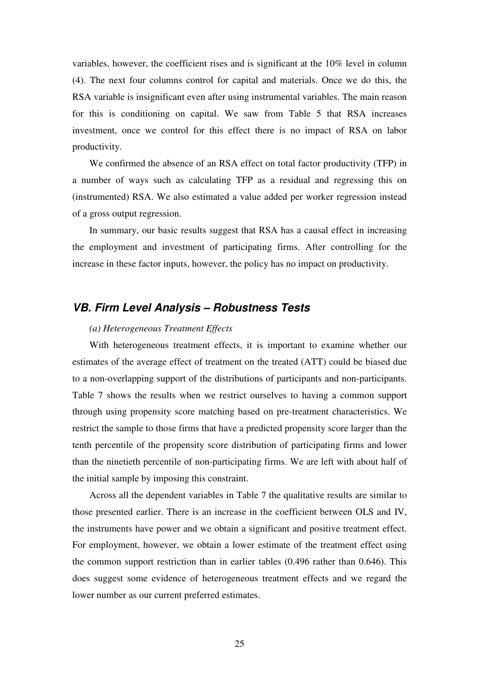variables, however, the coefficient rises and is significant at the 10% level in column (4). The next four columns control for capital and materials. Once we do this, the RSA variable is insignificant even after using instrumental variables. The main reason for this is conditioning on capital. We saw from Table 5 that RSA increases investment, once we control for this effect there is no impact of RSA on labor productivity.

We confirmed the absence of an RSA effect on total factor productivity (TFP) in a number of ways such as calculating TFP as a residual and regressing this on (instrumented) RSA. We also estimated a value added per worker regression instead of a gross output regression.

In summary, our basic results suggest that RSA has a causal effect in increasing the employment and investment of participating firms. After controlling for the increase in these factor inputs, however, the policy has no impact on productivity.

## **VB. Firm Level Analysis – Robustness Tests**

#### *(a) Heterogeneous Treatment Effects*

With heterogeneous treatment effects, it is important to examine whether our estimates of the average effect of treatment on the treated (ATT) could be biased due to a non-overlapping support of the distributions of participants and non-participants. Table 7 shows the results when we restrict ourselves to having a common support through using propensity score matching based on pre-treatment characteristics. We restrict the sample to those firms that have a predicted propensity score larger than the tenth percentile of the propensity score distribution of participating firms and lower than the ninetieth percentile of non-participating firms. We are left with about half of the initial sample by imposing this constraint.

Across all the dependent variables in Table 7 the qualitative results are similar to those presented earlier. There is an increase in the coefficient between OLS and IV, the instruments have power and we obtain a significant and positive treatment effect. For employment, however, we obtain a lower estimate of the treatment effect using the common support restriction than in earlier tables (0.496 rather than 0.646). This does suggest some evidence of heterogeneous treatment effects and we regard the lower number as our current preferred estimates.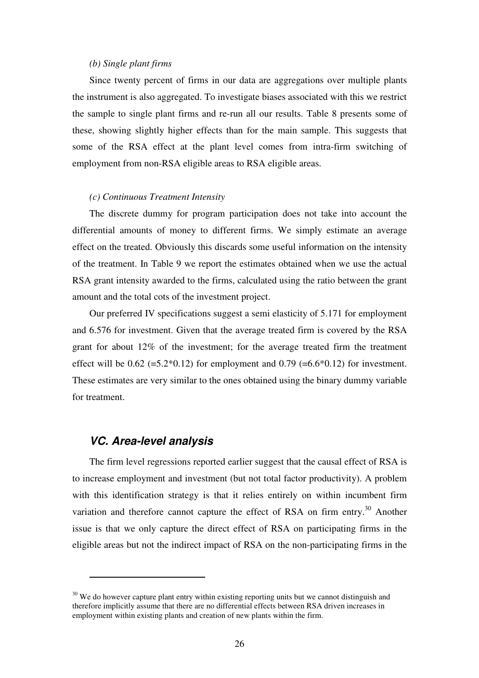#### *(b) Single plant firms*

Since twenty percent of firms in our data are aggregations over multiple plants the instrument is also aggregated. To investigate biases associated with this we restrict the sample to single plant firms and re-run all our results. Table 8 presents some of these, showing slightly higher effects than for the main sample. This suggests that some of the RSA effect at the plant level comes from intra-firm switching of employment from non-RSA eligible areas to RSA eligible areas.

#### *(c) Continuous Treatment Intensity*

The discrete dummy for program participation does not take into account the differential amounts of money to different firms. We simply estimate an average effect on the treated. Obviously this discards some useful information on the intensity of the treatment. In Table 9 we report the estimates obtained when we use the actual RSA grant intensity awarded to the firms, calculated using the ratio between the grant amount and the total cots of the investment project.

Our preferred IV specifications suggest a semi elasticity of 5.171 for employment and 6.576 for investment. Given that the average treated firm is covered by the RSA grant for about 12% of the investment; for the average treated firm the treatment effect will be  $0.62$  (=5.2 $*0.12$ ) for employment and  $0.79$  (=6.6 $*0.12$ ) for investment. These estimates are very similar to the ones obtained using the binary dummy variable for treatment.

## **VC. Area-level analysis**

 $\overline{a}$ 

The firm level regressions reported earlier suggest that the causal effect of RSA is to increase employment and investment (but not total factor productivity). A problem with this identification strategy is that it relies entirely on within incumbent firm variation and therefore cannot capture the effect of RSA on firm entry.<sup>30</sup> Another issue is that we only capture the direct effect of RSA on participating firms in the eligible areas but not the indirect impact of RSA on the non-participating firms in the

 $30\,\text{We}$  do however capture plant entry within existing reporting units but we cannot distinguish and therefore implicitly assume that there are no differential effects between RSA driven increases in employment within existing plants and creation of new plants within the firm.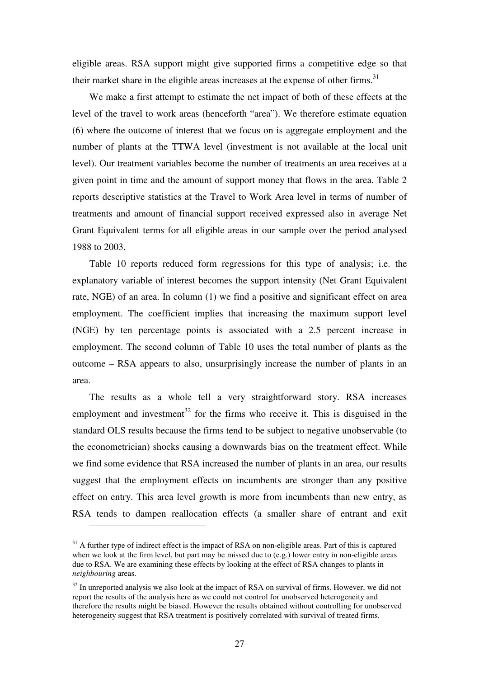eligible areas. RSA support might give supported firms a competitive edge so that their market share in the eligible areas increases at the expense of other firms.<sup>31</sup>

We make a first attempt to estimate the net impact of both of these effects at the level of the travel to work areas (henceforth "area"). We therefore estimate equation (6) where the outcome of interest that we focus on is aggregate employment and the number of plants at the TTWA level (investment is not available at the local unit level). Our treatment variables become the number of treatments an area receives at a given point in time and the amount of support money that flows in the area. Table 2 reports descriptive statistics at the Travel to Work Area level in terms of number of treatments and amount of financial support received expressed also in average Net Grant Equivalent terms for all eligible areas in our sample over the period analysed 1988 to 2003.

Table 10 reports reduced form regressions for this type of analysis; i.e. the explanatory variable of interest becomes the support intensity (Net Grant Equivalent rate, NGE) of an area. In column (1) we find a positive and significant effect on area employment. The coefficient implies that increasing the maximum support level (NGE) by ten percentage points is associated with a 2.5 percent increase in employment. The second column of Table 10 uses the total number of plants as the outcome – RSA appears to also, unsurprisingly increase the number of plants in an area.

The results as a whole tell a very straightforward story. RSA increases employment and investment<sup>32</sup> for the firms who receive it. This is disguised in the standard OLS results because the firms tend to be subject to negative unobservable (to the econometrician) shocks causing a downwards bias on the treatment effect. While we find some evidence that RSA increased the number of plants in an area, our results suggest that the employment effects on incumbents are stronger than any positive effect on entry. This area level growth is more from incumbents than new entry, as RSA tends to dampen reallocation effects (a smaller share of entrant and exit

 $\overline{a}$ 

 $31$  A further type of indirect effect is the impact of RSA on non-eligible areas. Part of this is captured when we look at the firm level, but part may be missed due to (e.g.) lower entry in non-eligible areas due to RSA. We are examining these effects by looking at the effect of RSA changes to plants in *neighbouring* areas.

 $32$  In unreported analysis we also look at the impact of RSA on survival of firms. However, we did not report the results of the analysis here as we could not control for unobserved heterogeneity and therefore the results might be biased. However the results obtained without controlling for unobserved heterogeneity suggest that RSA treatment is positively correlated with survival of treated firms.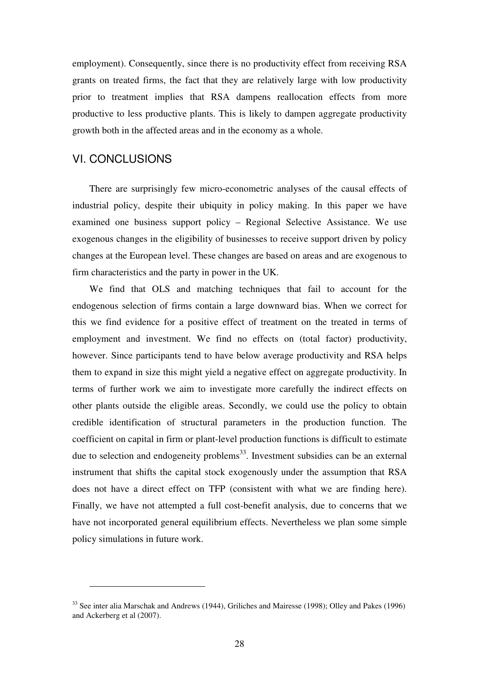employment). Consequently, since there is no productivity effect from receiving RSA grants on treated firms, the fact that they are relatively large with low productivity prior to treatment implies that RSA dampens reallocation effects from more productive to less productive plants. This is likely to dampen aggregate productivity growth both in the affected areas and in the economy as a whole.

## VI. CONCLUSIONS

 $\overline{a}$ 

There are surprisingly few micro-econometric analyses of the causal effects of industrial policy, despite their ubiquity in policy making. In this paper we have examined one business support policy – Regional Selective Assistance. We use exogenous changes in the eligibility of businesses to receive support driven by policy changes at the European level. These changes are based on areas and are exogenous to firm characteristics and the party in power in the UK.

We find that OLS and matching techniques that fail to account for the endogenous selection of firms contain a large downward bias. When we correct for this we find evidence for a positive effect of treatment on the treated in terms of employment and investment. We find no effects on (total factor) productivity, however. Since participants tend to have below average productivity and RSA helps them to expand in size this might yield a negative effect on aggregate productivity. In terms of further work we aim to investigate more carefully the indirect effects on other plants outside the eligible areas. Secondly, we could use the policy to obtain credible identification of structural parameters in the production function. The coefficient on capital in firm or plant-level production functions is difficult to estimate due to selection and endogeneity problems<sup>33</sup>. Investment subsidies can be an external instrument that shifts the capital stock exogenously under the assumption that RSA does not have a direct effect on TFP (consistent with what we are finding here). Finally, we have not attempted a full cost-benefit analysis, due to concerns that we have not incorporated general equilibrium effects. Nevertheless we plan some simple policy simulations in future work.

<sup>&</sup>lt;sup>33</sup> See inter alia Marschak and Andrews (1944), Griliches and Mairesse (1998); Olley and Pakes (1996) and Ackerberg et al (2007).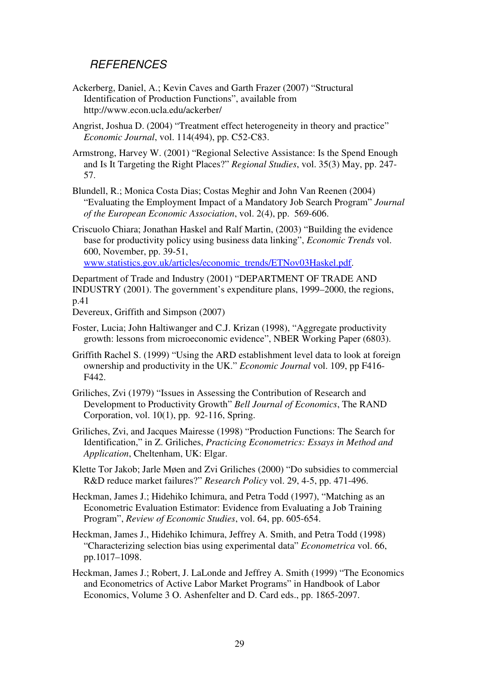## **REFERENCES**

- Ackerberg, Daniel, A.; Kevin Caves and Garth Frazer (2007) "Structural Identification of Production Functions", available from http://www.econ.ucla.edu/ackerber/
- Angrist, Joshua D. (2004) "Treatment effect heterogeneity in theory and practice" *Economic Journal*, vol. 114(494), pp. C52-C83.
- Armstrong, Harvey W. (2001) "Regional Selective Assistance: Is the Spend Enough and Is It Targeting the Right Places?" *Regional Studies*, vol. 35(3) May, pp. 247- 57.
- Blundell, R.; Monica Costa Dias; Costas Meghir and John Van Reenen (2004) "Evaluating the Employment Impact of a Mandatory Job Search Program" *Journal of the European Economic Association*, vol. 2(4), pp. 569-606.
- Criscuolo Chiara; Jonathan Haskel and Ralf Martin, (2003) "Building the evidence base for productivity policy using business data linking", *Economic Trends* vol. 600, November, pp. 39-51, www.statistics.gov.uk/articles/economic\_trends/ETNov03Haskel.pdf.

Department of Trade and Industry (2001) "DEPARTMENT OF TRADE AND INDUSTRY (2001). The government's expenditure plans, 1999–2000, the regions, p.41

Devereux, Griffith and Simpson (2007)

- Foster, Lucia; John Haltiwanger and C.J. Krizan (1998), "Aggregate productivity growth: lessons from microeconomic evidence", NBER Working Paper (6803).
- Griffith Rachel S. (1999) "Using the ARD establishment level data to look at foreign ownership and productivity in the UK." *Economic Journal* vol. 109, pp F416- F442.
- Griliches, Zvi (1979) "Issues in Assessing the Contribution of Research and Development to Productivity Growth" *Bell Journal of Economics*, The RAND Corporation, vol. 10(1), pp. 92-116, Spring.
- Griliches, Zvi, and Jacques Mairesse (1998) "Production Functions: The Search for Identification," in Z. Griliches, *Practicing Econometrics: Essays in Method and Application*, Cheltenham, UK: Elgar.
- Klette Tor Jakob; Jarle Møen and Zvi Griliches (2000) "Do subsidies to commercial R&D reduce market failures?" *Research Policy* vol. 29, 4-5, pp. 471-496.
- Heckman, James J.; Hidehiko Ichimura, and Petra Todd (1997), "Matching as an Econometric Evaluation Estimator: Evidence from Evaluating a Job Training Program", *Review of Economic Studies*, vol. 64, pp. 605-654.
- Heckman, James J., Hidehiko Ichimura, Jeffrey A. Smith, and Petra Todd (1998) "Characterizing selection bias using experimental data" *Econometrica* vol. 66, pp.1017–1098.
- Heckman, James J.; Robert, J. LaLonde and Jeffrey A. Smith (1999) "The Economics and Econometrics of Active Labor Market Programs" in Handbook of Labor Economics, Volume 3 O. Ashenfelter and D. Card eds., pp. 1865-2097.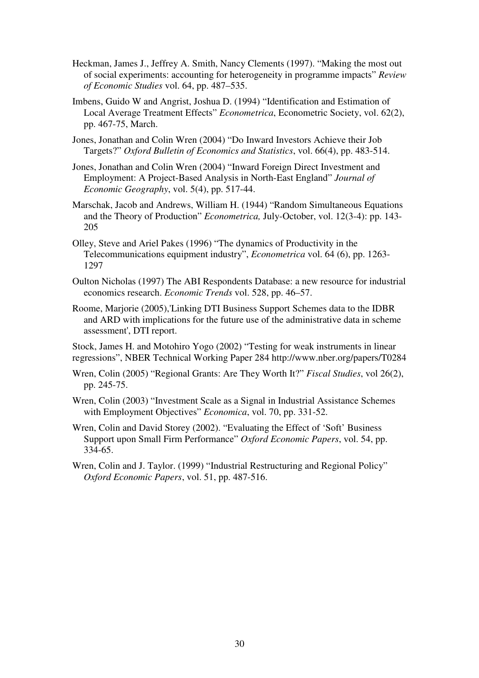- Heckman, James J., Jeffrey A. Smith, Nancy Clements (1997). "Making the most out of social experiments: accounting for heterogeneity in programme impacts" *Review of Economic Studies* vol. 64, pp. 487–535.
- Imbens, Guido W and Angrist, Joshua D. (1994) "Identification and Estimation of Local Average Treatment Effects" *Econometrica*, Econometric Society, vol. 62(2), pp. 467-75, March.
- Jones, Jonathan and Colin Wren (2004) "Do Inward Investors Achieve their Job Targets?" *Oxford Bulletin of Economics and Statistics*, vol. 66(4), pp. 483-514.
- Jones, Jonathan and Colin Wren (2004) "Inward Foreign Direct Investment and Employment: A Project-Based Analysis in North-East England" *Journal of Economic Geography*, vol. 5(4), pp. 517-44.
- Marschak, Jacob and Andrews, William H. (1944) "Random Simultaneous Equations and the Theory of Production" *Econometrica,* July-October, vol. 12(3-4): pp. 143- 205
- Olley, Steve and Ariel Pakes (1996) "The dynamics of Productivity in the Telecommunications equipment industry", *Econometrica* vol. 64 (6), pp. 1263- 1297
- Oulton Nicholas (1997) The ABI Respondents Database: a new resource for industrial economics research. *Economic Trends* vol. 528, pp. 46–57.
- Roome, Marjorie (2005),'Linking DTI Business Support Schemes data to the IDBR and ARD with implications for the future use of the administrative data in scheme assessment', DTI report.

Stock, James H. and Motohiro Yogo (2002) "Testing for weak instruments in linear regressions", NBER Technical Working Paper 284 http://www.nber.org/papers/T0284

- Wren, Colin (2005) "Regional Grants: Are They Worth It?" *Fiscal Studies*, vol 26(2), pp. 245-75.
- Wren, Colin (2003) "Investment Scale as a Signal in Industrial Assistance Schemes with Employment Objectives" *Economica*, vol. 70, pp. 331-52.
- Wren, Colin and David Storey (2002). "Evaluating the Effect of 'Soft' Business Support upon Small Firm Performance" *Oxford Economic Papers*, vol. 54, pp. 334-65.
- Wren, Colin and J. Taylor. (1999) "Industrial Restructuring and Regional Policy" *Oxford Economic Papers*, vol. 51, pp. 487-516.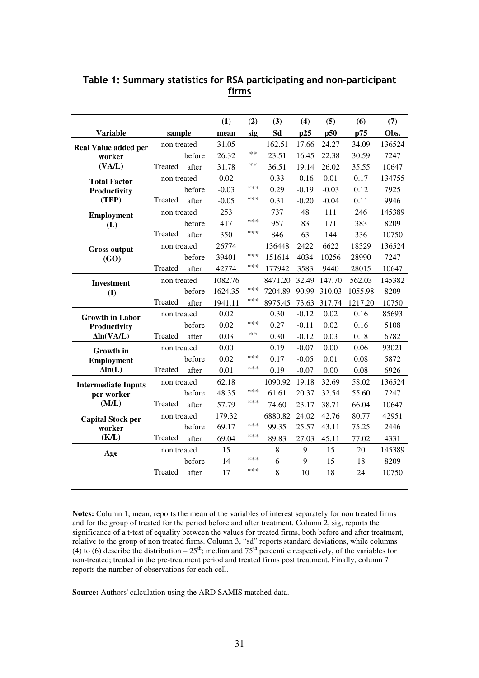|                            |             |        | (1)     | (2)   | (3)     | (4)     | (5)     | (6)     | (7)    |
|----------------------------|-------------|--------|---------|-------|---------|---------|---------|---------|--------|
| <b>Variable</b>            | sample      |        | mean    | sig   | Sd      | p25     | p50     | p75     | Obs.   |
| Real Value added per       | non treated |        | 31.05   |       | 162.51  | 17.66   | 24.27   | 34.09   | 136524 |
| worker                     |             | before | 26.32   | **    | 23.51   | 16.45   | 22.38   | 30.59   | 7247   |
| (VA/L)                     | Treated     | after  | 31.78   | $***$ | 36.51   | 19.14   | 26.02   | 35.55   | 10647  |
| <b>Total Factor</b>        | non treated |        | 0.02    |       | 0.33    | $-0.16$ | 0.01    | 0.17    | 134755 |
| Productivity               |             | before | $-0.03$ | ***   | 0.29    | $-0.19$ | $-0.03$ | 0.12    | 7925   |
| (TFP)                      | Treated     | after  | $-0.05$ | ***   | 0.31    | $-0.20$ | $-0.04$ | 0.11    | 9946   |
| <b>Employment</b>          | non treated |        | 253     |       | 737     | 48      | 111     | 246     | 145389 |
| (L)                        |             | before | 417     | ***   | 957     | 83      | 171     | 383     | 8209   |
|                            | Treated     | after  | 350     | ***   | 846     | 63      | 144     | 336     | 10750  |
| <b>Gross output</b>        | non treated |        | 26774   |       | 136448  | 2422    | 6622    | 18329   | 136524 |
| (GO)                       |             | before | 39401   | ***   | 151614  | 4034    | 10256   | 28990   | 7247   |
|                            | Treated     | after  | 42774   | ***   | 177942  | 3583    | 9440    | 28015   | 10647  |
| <b>Investment</b>          | non treated |        | 1082.76 |       | 8471.20 | 32.49   | 147.70  | 562.03  | 145382 |
| (I)                        |             | before | 1624.35 | ***   | 7204.89 | 90.99   | 310.03  | 1055.98 | 8209   |
|                            | Treated     | after  | 1941.11 | ***   | 8975.45 | 73.63   | 317.74  | 1217.20 | 10750  |
| <b>Growth in Labor</b>     | non treated |        | 0.02    |       | 0.30    | $-0.12$ | 0.02    | 0.16    | 85693  |
| Productivity               |             | before | 0.02    | ***   | 0.27    | $-0.11$ | 0.02    | 0.16    | 5108   |
| $\Delta$ ln(VA/L)          | Treated     | after  | 0.03    | $***$ | 0.30    | $-0.12$ | 0.03    | 0.18    | 6782   |
| <b>Growth</b> in           | non treated |        | 0.00    |       | 0.19    | $-0.07$ | 0.00    | 0.06    | 93021  |
| <b>Employment</b>          |             | before | 0.02    | ***   | 0.17    | $-0.05$ | 0.01    | 0.08    | 5872   |
| $\Delta ln(L)$             | Treated     | after  | 0.01    | ***   | 0.19    | $-0.07$ | 0.00    | 0.08    | 6926   |
| <b>Intermediate Inputs</b> | non treated |        | 62.18   |       | 1090.92 | 19.18   | 32.69   | 58.02   | 136524 |
| per worker                 |             | before | 48.35   | ***   | 61.61   | 20.37   | 32.54   | 55.60   | 7247   |
| (M/L)                      | Treated     | after  | 57.79   | ***   | 74.60   | 23.17   | 38.71   | 66.04   | 10647  |
| <b>Capital Stock per</b>   | non treated |        | 179.32  |       | 6880.82 | 24.02   | 42.76   | 80.77   | 42951  |
| worker                     |             | before | 69.17   | ***   | 99.35   | 25.57   | 43.11   | 75.25   | 2446   |
| (K/L)                      | Treated     | after  | 69.04   | ***   | 89.83   | 27.03   | 45.11   | 77.02   | 4331   |
| Age                        | non treated |        | 15      |       | 8       | 9       | 15      | 20      | 145389 |
|                            |             | before | 14      | ***   | 6       | 9       | 15      | 18      | 8209   |
|                            | Treated     | after  | 17      | ***   | 8       | 10      | 18      | 24      | 10750  |
|                            |             |        |         |       |         |         |         |         |        |

## Table 1: Summary statistics for RSA participating and non-participant firms

**Notes:** Column 1, mean, reports the mean of the variables of interest separately for non treated firms and for the group of treated for the period before and after treatment. Column 2, sig, reports the significance of a t-test of equality between the values for treated firms, both before and after treatment, relative to the group of non treated firms. Column 3, "sd" reports standard deviations, while columns (4) to (6) describe the distribution  $-25^{th}$ ; median and  $75^{th}$  percentile respectively, of the variables for non-treated; treated in the pre-treatment period and treated firms post treatment. Finally, column 7 reports the number of observations for each cell.

**Source:** Authors' calculation using the ARD SAMIS matched data.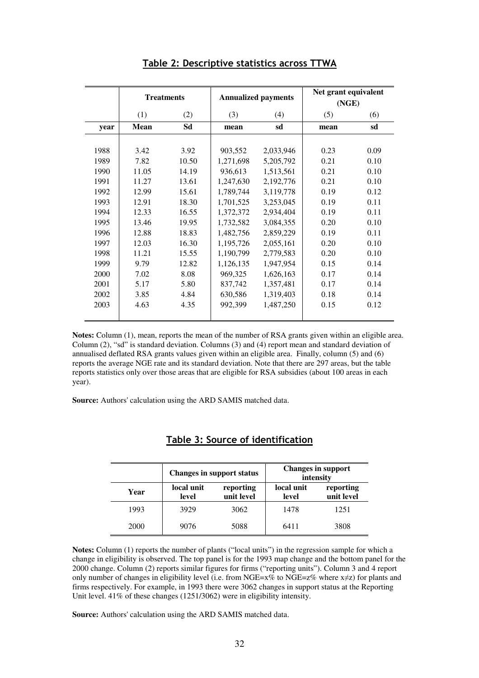|      | <b>Treatments</b> |       |           | <b>Annualized payments</b> | Net grant equivalent<br>(NGE) |      |
|------|-------------------|-------|-----------|----------------------------|-------------------------------|------|
|      | (1)               | (2)   | (3)       | (4)                        | (5)                           | (6)  |
| year | Mean              | Sd    | mean      | sd                         | mean                          | sd   |
|      |                   |       |           |                            |                               |      |
| 1988 | 3.42              | 3.92  | 903,552   | 2,033,946                  | 0.23                          | 0.09 |
| 1989 | 7.82              | 10.50 | 1,271,698 | 5,205,792                  | 0.21                          | 0.10 |
| 1990 | 11.05             | 14.19 | 936,613   | 1,513,561                  | 0.21                          | 0.10 |
| 1991 | 11.27             | 13.61 | 1,247,630 | 2,192,776                  | 0.21                          | 0.10 |
| 1992 | 12.99             | 15.61 | 1,789,744 | 3,119,778                  | 0.19                          | 0.12 |
| 1993 | 12.91             | 18.30 | 1,701,525 | 3,253,045                  | 0.19                          | 0.11 |
| 1994 | 12.33             | 16.55 | 1,372,372 | 2,934,404                  | 0.19                          | 0.11 |
| 1995 | 13.46             | 19.95 | 1,732,582 | 3,084,355                  | 0.20                          | 0.10 |
| 1996 | 12.88             | 18.83 | 1,482,756 | 2,859,229                  | 0.19                          | 0.11 |
| 1997 | 12.03             | 16.30 | 1,195,726 | 2,055,161                  | 0.20                          | 0.10 |
| 1998 | 11.21             | 15.55 | 1,190,799 | 2,779,583                  | 0.20                          | 0.10 |
| 1999 | 9.79              | 12.82 | 1,126,135 | 1,947,954                  | 0.15                          | 0.14 |
| 2000 | 7.02              | 8.08  | 969,325   | 1,626,163                  | 0.17                          | 0.14 |
| 2001 | 5.17              | 5.80  | 837,742   | 1,357,481                  | 0.17                          | 0.14 |
| 2002 | 3.85              | 4.84  | 630,586   | 1,319,403                  | 0.18                          | 0.14 |
| 2003 | 4.63              | 4.35  | 992,399   | 1,487,250                  | 0.15                          | 0.12 |

#### Table 2: Descriptive statistics across TTWA

**Notes:** Column (1), mean, reports the mean of the number of RSA grants given within an eligible area. Column (2), "sd" is standard deviation. Columns (3) and (4) report mean and standard deviation of annualised deflated RSA grants values given within an eligible area. Finally, column (5) and (6) reports the average NGE rate and its standard deviation. Note that there are 297 areas, but the table reports statistics only over those areas that are eligible for RSA subsidies (about 100 areas in each year).

**Source:** Authors' calculation using the ARD SAMIS matched data.

|      |                     | <b>Changes in support status</b> |                     | <b>Changes in support</b><br>intensity |
|------|---------------------|----------------------------------|---------------------|----------------------------------------|
| Year | local unit<br>level | reporting<br>unit level          | local unit<br>level | reporting<br>unit level                |
| 1993 | 3929                | 3062                             | 1478                | 1251                                   |
| 2000 | 9076                | 5088                             | 6411                | 3808                                   |

### Table 3: Source of identification

**Notes:** Column (1) reports the number of plants ("local units") in the regression sample for which a change in eligibility is observed. The top panel is for the 1993 map change and the bottom panel for the 2000 change. Column (2) reports similar figures for firms ("reporting units"). Column 3 and 4 report only number of changes in eligibility level (i.e. from NGE= $x\%$  to NGE= $z\%$  where  $x\neq z$ ) for plants and firms respectively. For example, in 1993 there were 3062 changes in support status at the Reporting Unit level. 41% of these changes (1251/3062) were in eligibility intensity.

**Source:** Authors' calculation using the ARD SAMIS matched data.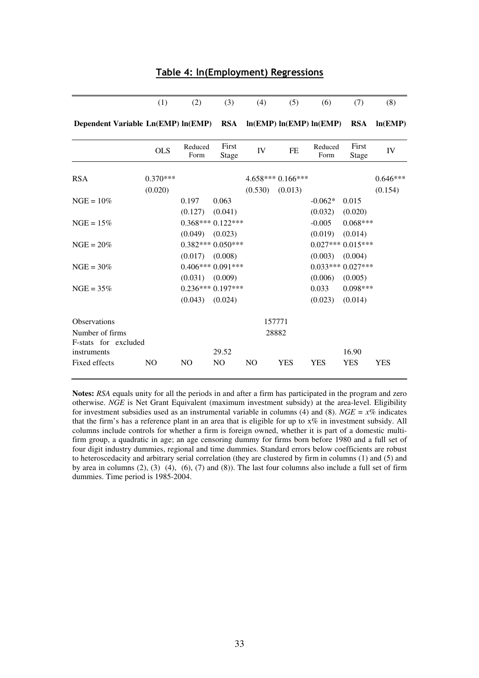|                                        | (1)            | (2)             | (3)                   | (4)            | (5)                     | (6)             | (7)                | (8)        |
|----------------------------------------|----------------|-----------------|-----------------------|----------------|-------------------------|-----------------|--------------------|------------|
| Dependent Variable Ln(EMP) ln(EMP) RSA |                |                 |                       |                | ln(EMP) ln(EMP) ln(EMP) |                 | <b>RSA</b>         | ln(EMP)    |
|                                        | <b>OLS</b>     | Reduced<br>Form | First<br><b>Stage</b> | IV             | <b>FE</b>               | Reduced<br>Form | First<br>Stage     | IV         |
| <b>RSA</b>                             | $0.370***$     |                 |                       |                | $4.658***0.166***$      |                 |                    | $0.646***$ |
|                                        | (0.020)        |                 |                       | (0.530)        | (0.013)                 |                 |                    | (0.154)    |
| $NGE = 10\%$                           |                | 0.197           | 0.063                 |                |                         | $-0.062*$       | 0.015              |            |
|                                        |                | (0.127)         | (0.041)               |                |                         | (0.032)         | (0.020)            |            |
| $NGE = 15%$                            |                |                 | $0.368***0.122***$    |                |                         | $-0.005$        | $0.068***$         |            |
|                                        |                | (0.049)         | (0.023)               |                |                         | (0.019)         | (0.014)            |            |
| $NGE = 20\%$                           |                |                 | $0.382***0.050***$    |                |                         |                 | $0.027***0.015***$ |            |
|                                        |                | (0.017)         | (0.008)               |                |                         | (0.003)         | (0.004)            |            |
| $NGE = 30\%$                           |                |                 | $0.406***0.091***$    |                |                         |                 | $0.033***0.027***$ |            |
|                                        |                | (0.031)         | (0.009)               |                |                         | (0.006)         | (0.005)            |            |
| $NGE = 35%$                            |                |                 | $0.236***0.197***$    |                |                         | 0.033           | $0.098***$         |            |
|                                        |                | (0.043)         | (0.024)               |                |                         | (0.023)         | (0.014)            |            |
| <b>Observations</b>                    |                |                 |                       |                | 157771                  |                 |                    |            |
| Number of firms                        |                |                 |                       |                | 28882                   |                 |                    |            |
| F-stats for excluded                   |                |                 |                       |                |                         |                 |                    |            |
| instruments                            |                |                 | 29.52                 |                |                         |                 | 16.90              |            |
| Fixed effects                          | N <sub>O</sub> | N <sub>O</sub>  | N <sub>O</sub>        | N <sub>O</sub> | <b>YES</b>              | <b>YES</b>      | <b>YES</b>         | <b>YES</b> |

Table 4: ln(Employment) Regressions

**Notes:** *RSA* equals unity for all the periods in and after a firm has participated in the program and zero otherwise. *NGE* is Net Grant Equivalent (maximum investment subsidy) at the area-level. Eligibility for investment subsidies used as an instrumental variable in columns (4) and (8). *NGE* =  $x\%$  indicates that the firm's has a reference plant in an area that is eligible for up to x% in investment subsidy. All columns include controls for whether a firm is foreign owned, whether it is part of a domestic multifirm group, a quadratic in age; an age censoring dummy for firms born before 1980 and a full set of four digit industry dummies, regional and time dummies. Standard errors below coefficients are robust to heteroscedacity and arbitrary serial correlation (they are clustered by firm in columns (1) and (5) and by area in columns (2), (3) (4), (6), (7) and (8)). The last four columns also include a full set of firm dummies. Time period is 1985-2004.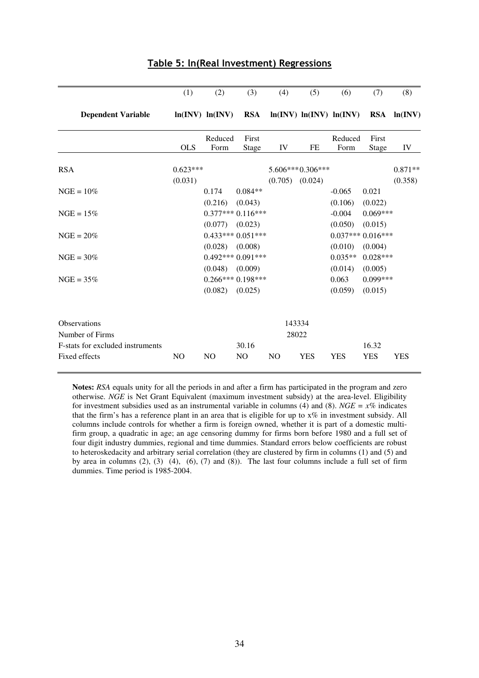| (1)            | (2)                   | (3)                                                 | (4)                                                                  | (5)                                                                                                   | (6)                              | (7)                                                       | (8)                                                                                                |
|----------------|-----------------------|-----------------------------------------------------|----------------------------------------------------------------------|-------------------------------------------------------------------------------------------------------|----------------------------------|-----------------------------------------------------------|----------------------------------------------------------------------------------------------------|
|                |                       | <b>RSA</b>                                          |                                                                      |                                                                                                       |                                  |                                                           | $RSA \quad ln(INV)$                                                                                |
|                |                       | First                                               |                                                                      |                                                                                                       |                                  | First                                                     |                                                                                                    |
|                |                       |                                                     |                                                                      |                                                                                                       |                                  |                                                           | IV                                                                                                 |
|                |                       |                                                     |                                                                      |                                                                                                       |                                  |                                                           | $0.871**$                                                                                          |
|                | 0.174                 | $0.084**$                                           |                                                                      |                                                                                                       | $-0.065$                         | 0.021                                                     | (0.358)                                                                                            |
|                |                       |                                                     |                                                                      |                                                                                                       | $-0.004$                         | $0.069***$                                                |                                                                                                    |
|                |                       |                                                     |                                                                      |                                                                                                       |                                  |                                                           |                                                                                                    |
|                | (0.028)               | (0.008)                                             |                                                                      |                                                                                                       | (0.010)<br>$0.035**$             | (0.004)<br>$0.028***$                                     |                                                                                                    |
|                | (0.048)               | (0.009)                                             |                                                                      |                                                                                                       | (0.014)<br>0.063                 | (0.005)<br>$0.099***$                                     |                                                                                                    |
|                |                       |                                                     |                                                                      |                                                                                                       |                                  |                                                           |                                                                                                    |
|                |                       |                                                     |                                                                      |                                                                                                       |                                  |                                                           |                                                                                                    |
| N <sub>O</sub> | N <sub>O</sub>        | 30.16<br>N <sub>O</sub>                             | N <sub>O</sub>                                                       | <b>YES</b>                                                                                            | <b>YES</b>                       | 16.32<br><b>YES</b>                                       | <b>YES</b>                                                                                         |
|                | <b>OLS</b><br>(0.031) | Form<br>$0.623***$<br>(0.216)<br>(0.077)<br>(0.082) | ln(INV) ln(INV)<br>Reduced<br>Stage<br>(0.043)<br>(0.023)<br>(0.025) | IV<br>(0.705)<br>$0.377***0.116***$<br>$0.433***0.051***$<br>$0.492***0.091***$<br>$0.266***0.198***$ | FE<br>(0.024)<br>143334<br>28022 | Form<br>5.606***0.306***<br>(0.106)<br>(0.050)<br>(0.059) | ln(INV) ln(INV) ln(INV)<br>Reduced<br>Stage<br>(0.022)<br>(0.015)<br>$0.037***0.016***$<br>(0.015) |

#### Table 5: ln(Real Investment) Regressions

**Notes:** *RSA* equals unity for all the periods in and after a firm has participated in the program and zero otherwise. *NGE* is Net Grant Equivalent (maximum investment subsidy) at the area-level. Eligibility for investment subsidies used as an instrumental variable in columns (4) and (8). *NGE* =  $x\%$  indicates that the firm's has a reference plant in an area that is eligible for up to  $x\%$  in investment subsidy. All columns include controls for whether a firm is foreign owned, whether it is part of a domestic multifirm group, a quadratic in age; an age censoring dummy for firms born before 1980 and a full set of four digit industry dummies, regional and time dummies. Standard errors below coefficients are robust to heteroskedacity and arbitrary serial correlation (they are clustered by firm in columns (1) and (5) and by area in columns (2), (3) (4), (6), (7) and (8)). The last four columns include a full set of firm dummies. Time period is 1985-2004.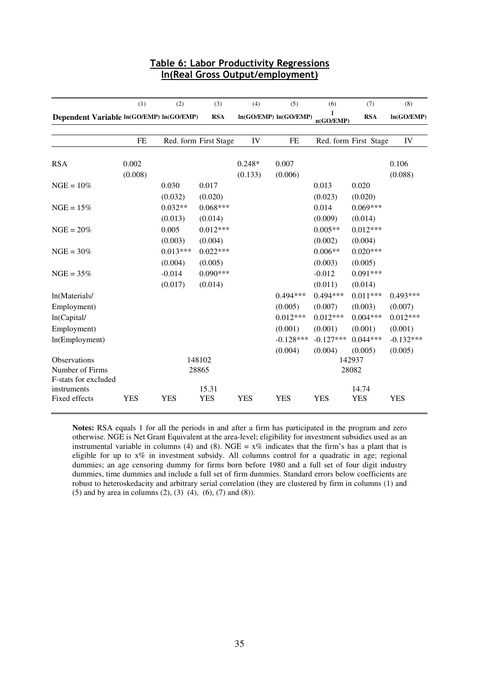|                                                         | (1)              | (2)                   | (3)                   | (4)                 | (5)                               | (6)                               | (7)                              | (8)                               |
|---------------------------------------------------------|------------------|-----------------------|-----------------------|---------------------|-----------------------------------|-----------------------------------|----------------------------------|-----------------------------------|
| Dependent Variable ln(GO/EMP) ln(GO/EMP)                |                  |                       | <b>RSA</b>            |                     | In(GO/EMP) In(GO/EMP)             | n(GO/EMP)                         | <b>RSA</b>                       | ln(GO/EMP)                        |
|                                                         | <b>FE</b>        |                       | Red. form First Stage | IV                  | <b>FE</b>                         |                                   | Red. form First Stage            | IV                                |
| <b>RSA</b>                                              | 0.002<br>(0.008) |                       |                       | $0.248*$<br>(0.133) | 0.007<br>(0.006)                  |                                   |                                  | 0.106<br>(0.088)                  |
| $NGE = 10%$                                             |                  | 0.030<br>(0.032)      | 0.017<br>(0.020)      |                     |                                   | 0.013<br>(0.023)                  | 0.020<br>(0.020)                 |                                   |
| $NGE = 15%$                                             |                  | $0.032**$<br>(0.013)  | $0.068***$<br>(0.014) |                     |                                   | 0.014<br>(0.009)                  | $0.069***$<br>(0.014)            |                                   |
| $NGE = 20\%$                                            |                  | 0.005<br>(0.003)      | $0.012***$<br>(0.004) |                     |                                   | $0.005**$<br>(0.002)              | $0.012***$<br>(0.004)            |                                   |
| $NGE = 30\%$                                            |                  | $0.013***$<br>(0.004) | $0.022***$<br>(0.005) |                     |                                   | $0.006**$<br>(0.003)              | $0.020***$<br>(0.005)            |                                   |
| $NGE = 35%$                                             |                  | $-0.014$<br>(0.017)   | $0.090***$<br>(0.014) |                     |                                   | $-0.012$<br>(0.011)               | $0.091***$<br>(0.014)            |                                   |
| ln(Materials/                                           |                  |                       |                       |                     | $0.494***$                        | $0.494***$                        | $0.011***$                       | $0.493***$                        |
| Employment)<br>ln(Capital/                              |                  |                       |                       |                     | (0.005)<br>$0.012***$             | (0.007)<br>$0.012***$             | (0.003)<br>$0.004***$            | (0.007)<br>$0.012***$             |
| Employment)<br>ln(Employment)                           |                  |                       |                       |                     | (0.001)<br>$-0.128***$<br>(0.004) | (0.001)<br>$-0.127***$<br>(0.004) | (0.001)<br>$0.044***$<br>(0.005) | (0.001)<br>$-0.132***$<br>(0.005) |
| Observations<br>Number of Firms<br>F-stats for excluded |                  |                       | 148102<br>28865       |                     |                                   |                                   | 142937<br>28082                  |                                   |
| instruments<br>Fixed effects                            | <b>YES</b>       | <b>YES</b>            | 15.31<br><b>YES</b>   | <b>YES</b>          | <b>YES</b>                        | <b>YES</b>                        | 14.74<br><b>YES</b>              | <b>YES</b>                        |

## Table 6: Labor Productivity Regressions ln(Real Gross Output/employment)

**Notes:** RSA equals 1 for all the periods in and after a firm has participated in the program and zero otherwise. NGE is Net Grant Equivalent at the area-level; eligibility for investment subsidies used as an instrumental variable in columns (4) and (8). NGE =  $x\%$  indicates that the firm's has a plant that is eligible for up to x% in investment subsidy. All columns control for a quadratic in age; regional dummies; an age censoring dummy for firms born before 1980 and a full set of four digit industry dummies, time dummies and include a full set of firm dummies. Standard errors below coefficients are robust to heteroskedacity and arbitrary serial correlation (they are clustered by firm in columns (1) and (5) and by area in columns  $(2)$ ,  $(3)$   $(4)$ ,  $(6)$ ,  $(7)$  and  $(8)$ ).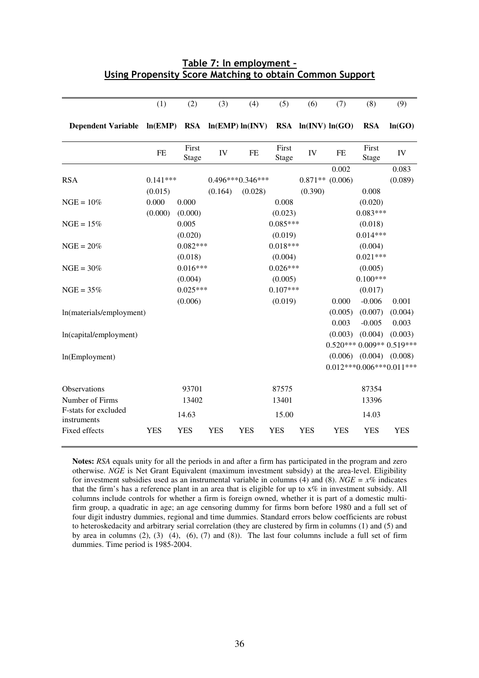|                                                          | Table 7: In employment - |  |  |
|----------------------------------------------------------|--------------------------|--|--|
| Using Propensity Score Matching to obtain Common Support |                          |  |  |

|                           | (1)        | (2)            | (3)        | (4)                | (5)            | (6)                    | (7)        | (8)                        | (9)        |
|---------------------------|------------|----------------|------------|--------------------|----------------|------------------------|------------|----------------------------|------------|
| <b>Dependent Variable</b> | ln(EMP)    | <b>RSA</b>     |            | ln(EMP) ln(INV)    |                | $RSA \ln(INV) \ln(GO)$ |            | <b>RSA</b>                 | ln(GO)     |
|                           | FE         | First<br>Stage | IV         | FE                 | First<br>Stage | IV                     | FE         | First<br><b>Stage</b>      | IV         |
|                           |            |                |            |                    |                |                        | 0.002      |                            | 0.083      |
| <b>RSA</b>                | $0.141***$ |                |            | $0.496***0.346***$ |                | $0.871**$ (0.006)      |            |                            | (0.089)    |
|                           | (0.015)    |                | (0.164)    | (0.028)            |                | (0.390)                |            | 0.008                      |            |
| $NGE = 10%$               | 0.000      | 0.000          |            |                    | 0.008          |                        |            | (0.020)                    |            |
|                           | (0.000)    | (0.000)        |            |                    | (0.023)        |                        |            | $0.083***$                 |            |
| $NGE = 15%$               |            | 0.005          |            |                    | $0.085***$     |                        |            | (0.018)                    |            |
|                           |            | (0.020)        |            |                    | (0.019)        |                        |            | $0.014***$                 |            |
| $NGE = 20%$               |            | $0.082***$     |            |                    | $0.018***$     |                        |            | (0.004)                    |            |
|                           |            | (0.018)        |            |                    | (0.004)        |                        |            | $0.021***$                 |            |
| $NGE = 30%$               |            | $0.016***$     |            |                    | $0.026***$     |                        |            | (0.005)                    |            |
|                           |            | (0.004)        |            |                    | (0.005)        |                        |            | $0.100***$                 |            |
| $NGE = 35%$               |            | $0.025***$     |            |                    | $0.107***$     |                        |            | (0.017)                    |            |
|                           |            | (0.006)        |            |                    | (0.019)        |                        | 0.000      | $-0.006$                   | 0.001      |
| ln(materials/employment)  |            |                |            |                    |                |                        | (0.005)    | (0.007)                    | (0.004)    |
|                           |            |                |            |                    |                |                        | 0.003      | $-0.005$                   | 0.003      |
| ln(capital/employment)    |            |                |            |                    |                |                        | (0.003)    | (0.004)                    | (0.003)    |
|                           |            |                |            |                    |                |                        |            | $0.520***0.009**0.519***$  |            |
| ln(Employment)            |            |                |            |                    |                |                        | (0.006)    | (0.004)                    | (0.008)    |
|                           |            |                |            |                    |                |                        |            | $0.012***0.006***0.011***$ |            |
| Observations              |            | 93701          |            |                    | 87575          |                        |            | 87354                      |            |
| Number of Firms           |            | 13402          |            |                    | 13401          |                        |            | 13396                      |            |
| F-stats for excluded      |            |                |            |                    |                |                        |            |                            |            |
| instruments               |            | 14.63          |            |                    | 15.00          |                        |            | 14.03                      |            |
| Fixed effects             | <b>YES</b> | <b>YES</b>     | <b>YES</b> | <b>YES</b>         | <b>YES</b>     | <b>YES</b>             | <b>YES</b> | <b>YES</b>                 | <b>YES</b> |

**Notes:** *RSA* equals unity for all the periods in and after a firm has participated in the program and zero otherwise. *NGE* is Net Grant Equivalent (maximum investment subsidy) at the area-level. Eligibility for investment subsidies used as an instrumental variable in columns (4) and (8). *NGE* =  $x\%$  indicates that the firm's has a reference plant in an area that is eligible for up to x% in investment subsidy. All columns include controls for whether a firm is foreign owned, whether it is part of a domestic multifirm group, a quadratic in age; an age censoring dummy for firms born before 1980 and a full set of four digit industry dummies, regional and time dummies. Standard errors below coefficients are robust to heteroskedacity and arbitrary serial correlation (they are clustered by firm in columns (1) and (5) and by area in columns (2), (3) (4), (6), (7) and (8)). The last four columns include a full set of firm dummies. Time period is 1985-2004.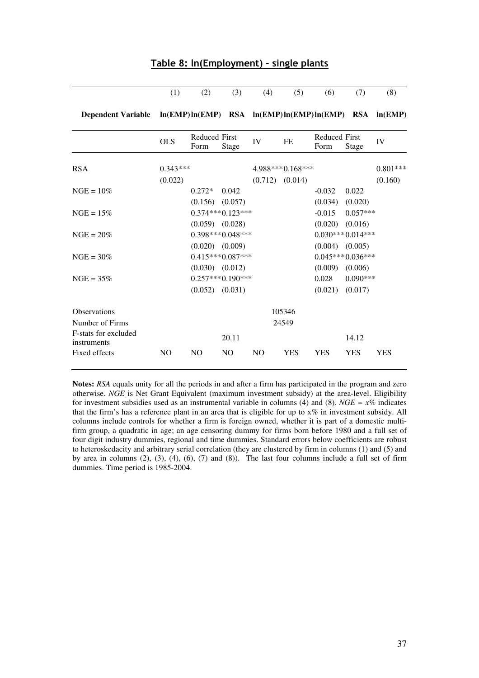|                                                                            | (1)        | (2)                          | (3)                | (4)            | (5)                 | (6)                          | (7)                | (8)        |
|----------------------------------------------------------------------------|------------|------------------------------|--------------------|----------------|---------------------|------------------------------|--------------------|------------|
| Dependent Variable ln(EMP) ln(EMP) RSA ln(EMP) ln(EMP) ln(EMP) RSA ln(EMP) |            |                              |                    |                |                     |                              |                    |            |
|                                                                            | <b>OLS</b> | <b>Reduced First</b><br>Form | Stage              | IV             | FE                  | <b>Reduced First</b><br>Form | Stage              | IV         |
| <b>RSA</b>                                                                 | $0.343***$ |                              |                    |                | 4.988***0.168***    |                              |                    | $0.801***$ |
|                                                                            | (0.022)    |                              |                    |                | $(0.712)$ $(0.014)$ |                              |                    | (0.160)    |
| $NGE = 10\%$                                                               |            | $0.272*$                     | 0.042              |                |                     | $-0.032$                     | 0.022              |            |
|                                                                            |            | $(0.156)$ $(0.057)$          |                    |                |                     | (0.034)                      | (0.020)            |            |
| $NGE = 15\%$                                                               |            |                              | $0.374***0.123***$ |                |                     | $-0.015$                     | $0.057***$         |            |
|                                                                            |            | $(0.059)$ $(0.028)$          |                    |                |                     | (0.020)                      | (0.016)            |            |
| $NGE = 20\%$                                                               |            |                              | $0.398***0.048***$ |                |                     |                              | $0.030***0.014***$ |            |
|                                                                            |            | $(0.020)$ $(0.009)$          |                    |                |                     | (0.004)                      | (0.005)            |            |
| $NGE = 30\%$                                                               |            |                              | $0.415***0.087***$ |                |                     |                              | $0.045***0.036***$ |            |
|                                                                            |            | $(0.030)$ $(0.012)$          |                    |                |                     | (0.009)                      | (0.006)            |            |
| $NGE = 35%$                                                                |            |                              | $0.257***0.190***$ |                |                     | 0.028                        | $0.090***$         |            |
|                                                                            |            | (0.052)                      | (0.031)            |                |                     | (0.021)                      | (0.017)            |            |
| <b>Observations</b>                                                        |            |                              |                    |                | 105346              |                              |                    |            |
| Number of Firms                                                            |            |                              |                    |                | 24549               |                              |                    |            |
| F-stats for excluded<br>instruments                                        |            |                              | 20.11              |                |                     |                              | 14.12              |            |
| Fixed effects                                                              | NO         | NO                           | $\rm NO$           | N <sub>O</sub> | <b>YES</b>          | <b>YES</b>                   | <b>YES</b>         | <b>YES</b> |

#### Table 8: ln(Employment) – single plants

**Notes:** *RSA* equals unity for all the periods in and after a firm has participated in the program and zero otherwise. *NGE* is Net Grant Equivalent (maximum investment subsidy) at the area-level. Eligibility for investment subsidies used as an instrumental variable in columns (4) and (8). *NGE = x%* indicates that the firm's has a reference plant in an area that is eligible for up to x% in investment subsidy. All columns include controls for whether a firm is foreign owned, whether it is part of a domestic multifirm group, a quadratic in age; an age censoring dummy for firms born before 1980 and a full set of four digit industry dummies, regional and time dummies. Standard errors below coefficients are robust to heteroskedacity and arbitrary serial correlation (they are clustered by firm in columns (1) and (5) and by area in columns  $(2)$ ,  $(3)$ ,  $(4)$ ,  $(6)$ ,  $(7)$  and  $(8)$ ). The last four columns include a full set of firm dummies. Time period is 1985-2004.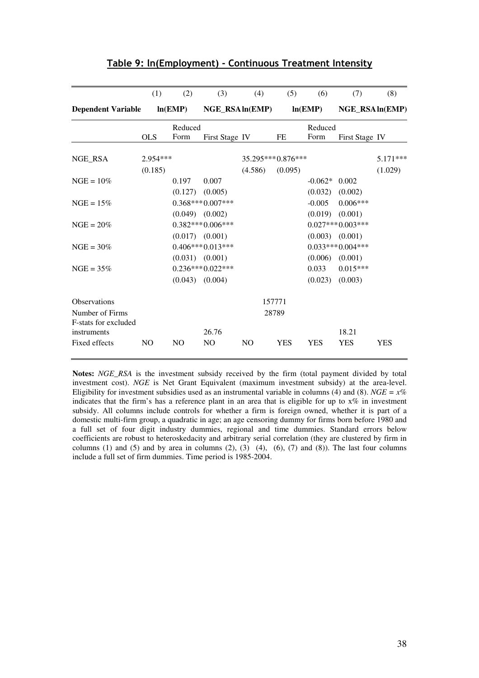|                                         | (1)            | (2)                 | (3)                | (4)            | (5)               | (6)                 | (7)                | (8)        |
|-----------------------------------------|----------------|---------------------|--------------------|----------------|-------------------|---------------------|--------------------|------------|
| <b>Dependent Variable</b>               |                | ln(EMP)             | NGE_RSAln(EMP)     |                |                   | ln(EMP)             | NGE_RSAln(EMP)     |            |
|                                         |                | Reduced             |                    |                |                   | Reduced             |                    |            |
|                                         | <b>OLS</b>     | Form                | First Stage IV     |                | FE                | Form                | First Stage IV     |            |
| NGE RSA                                 | 2.954***       |                     |                    |                | 35.295***0.876*** |                     |                    | 5.171***   |
|                                         | (0.185)        |                     |                    | (4.586)        | (0.095)           |                     |                    | (1.029)    |
| $NGE = 10\%$                            |                | 0.197               | 0.007              |                |                   | $-0.062*$           | 0.002              |            |
|                                         |                | (0.127)             | (0.005)            |                |                   | (0.032)             | (0.002)            |            |
| $NGE = 15\%$                            |                |                     | $0.368***0.007***$ |                |                   | $-0.005$            | $0.006***$         |            |
|                                         |                | $(0.049)$ $(0.002)$ |                    |                |                   | (0.019)             | (0.001)            |            |
| $NGE = 20\%$                            |                |                     | $0.382***0.006***$ |                |                   |                     | $0.027***0.003***$ |            |
|                                         |                | $(0.017)$ $(0.001)$ |                    |                |                   | $(0.003)$ $(0.001)$ |                    |            |
| $NGE = 30\%$                            |                |                     | $0.406***0.013***$ |                |                   |                     | $0.033***0.004***$ |            |
|                                         |                | $(0.031)$ $(0.001)$ |                    |                |                   | (0.006)             | (0.001)            |            |
| $NGE = 35%$                             |                |                     | $0.236***0.022***$ |                |                   | 0.033               | $0.015***$         |            |
|                                         |                | $(0.043)$ $(0.004)$ |                    |                |                   | (0.023)             | (0.003)            |            |
| Observations                            |                |                     |                    |                | 157771            |                     |                    |            |
| Number of Firms<br>F-stats for excluded |                |                     |                    |                | 28789             |                     |                    |            |
| instruments                             |                |                     | 26.76              |                |                   |                     | 18.21              |            |
| Fixed effects                           | N <sub>O</sub> | N <sub>O</sub>      | N <sub>O</sub>     | N <sub>O</sub> | <b>YES</b>        | <b>YES</b>          | <b>YES</b>         | <b>YES</b> |

## Table 9: ln(Employment) - Continuous Treatment Intensity

**Notes:** *NGE\_RSA* is the investment subsidy received by the firm (total payment divided by total investment cost). *NGE* is Net Grant Equivalent (maximum investment subsidy) at the area-level. Eligibility for investment subsidies used as an instrumental variable in columns (4) and (8). *NGE* =  $x\%$ indicates that the firm's has a reference plant in an area that is eligible for up to x% in investment subsidy. All columns include controls for whether a firm is foreign owned, whether it is part of a domestic multi-firm group, a quadratic in age; an age censoring dummy for firms born before 1980 and a full set of four digit industry dummies, regional and time dummies. Standard errors below coefficients are robust to heteroskedacity and arbitrary serial correlation (they are clustered by firm in columns (1) and (5) and by area in columns (2), (3) (4), (6), (7) and (8)). The last four columns include a full set of firm dummies. Time period is 1985-2004.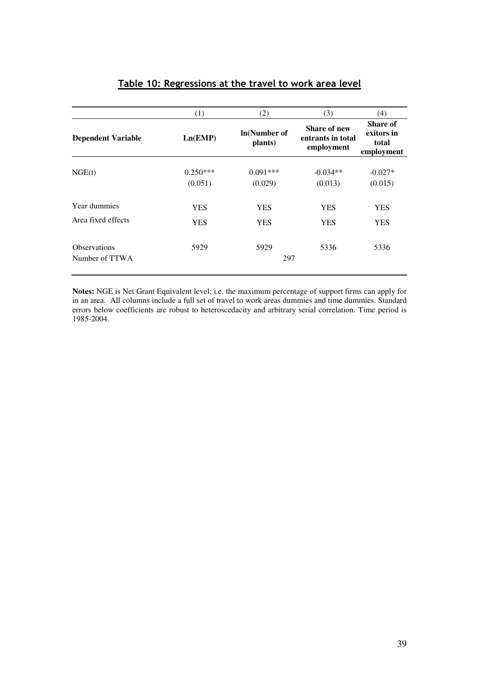|                                       | (1)                   | (2)                            | (3)                                                    | (4)                                                  |
|---------------------------------------|-----------------------|--------------------------------|--------------------------------------------------------|------------------------------------------------------|
| <b>Dependent Variable</b>             | Ln(EMP)               | <b>In(Number of</b><br>plants) | <b>Share of new</b><br>entrants in total<br>employment | <b>Share of</b><br>exitors in<br>total<br>employment |
| NGE(t)                                | $0.250***$<br>(0.051) | $0.091***$<br>(0.029)          | $-0.034**$<br>(0.013)                                  | $-0.027*$<br>(0.015)                                 |
| Year dummies<br>Area fixed effects    | <b>YES</b><br>YES     | <b>YES</b><br>YES              | <b>YES</b><br>YES                                      | <b>YES</b><br><b>YES</b>                             |
| <b>Observations</b><br>Number of TTWA | 5929                  | 5929<br>297                    | 5336                                                   | 5336                                                 |

## Table 10: Regressions at the travel to work area level

**Notes:** NGE is Net Grant Equivalent level; i.e. the maximum percentage of support firms can apply for in an area. All columns include a full set of travel to work areas dummies and time dummies. Standard errors below coefficients are robust to heteroscedacity and arbitrary serial correlation. Time period is 1985-2004.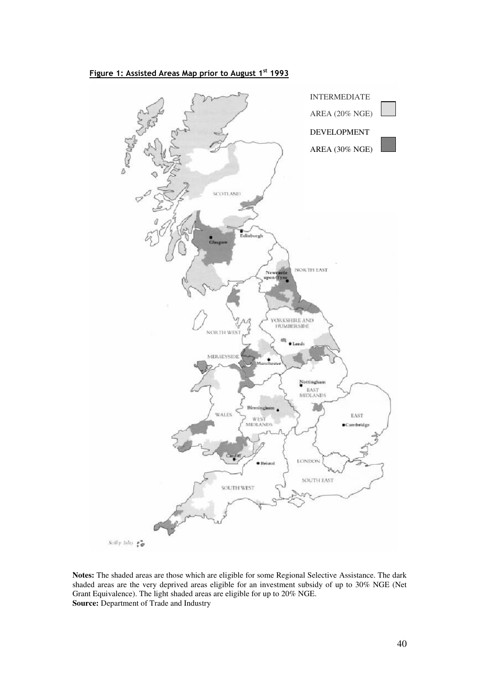



**Notes:** The shaded areas are those which are eligible for some Regional Selective Assistance. The dark shaded areas are the very deprived areas eligible for an investment subsidy of up to 30% NGE (Net Grant Equivalence). The light shaded areas are eligible for up to 20% NGE. **Source:** Department of Trade and Industry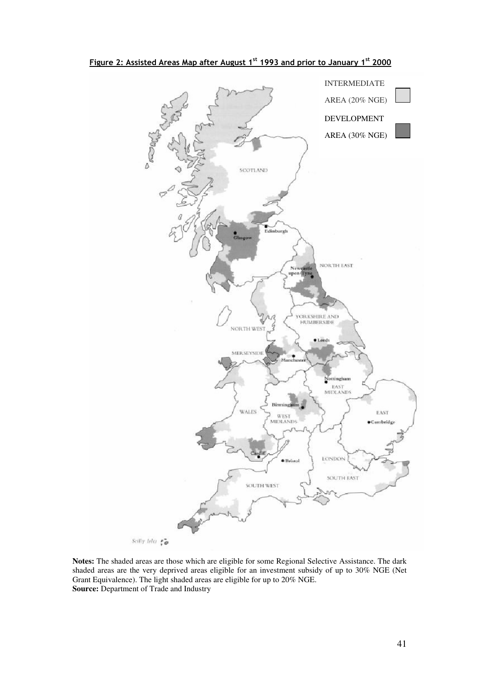

**Notes:** The shaded areas are those which are eligible for some Regional Selective Assistance. The dark shaded areas are the very deprived areas eligible for an investment subsidy of up to 30% NGE (Net Grant Equivalence). The light shaded areas are eligible for up to 20% NGE. **Source:** Department of Trade and Industry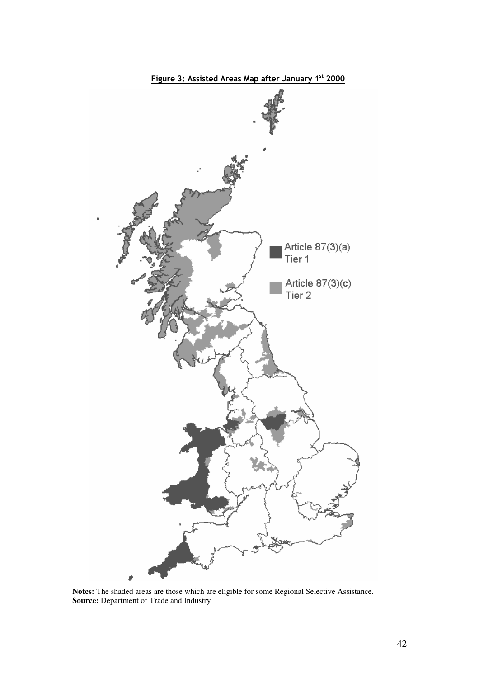

**Notes:** The shaded areas are those which are eligible for some Regional Selective Assistance. **Source:** Department of Trade and Industry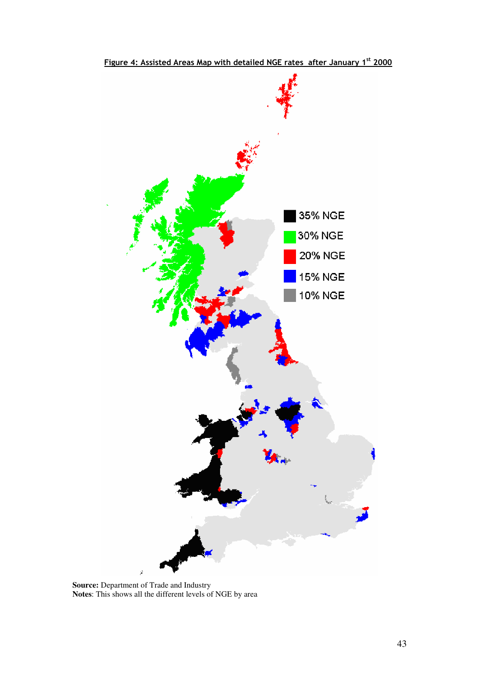

Figure 4: Assisted Areas Map with detailed NGE rates after January 1st 2000

**Source:** Department of Trade and Industry **Notes**: This shows all the different levels of NGE by area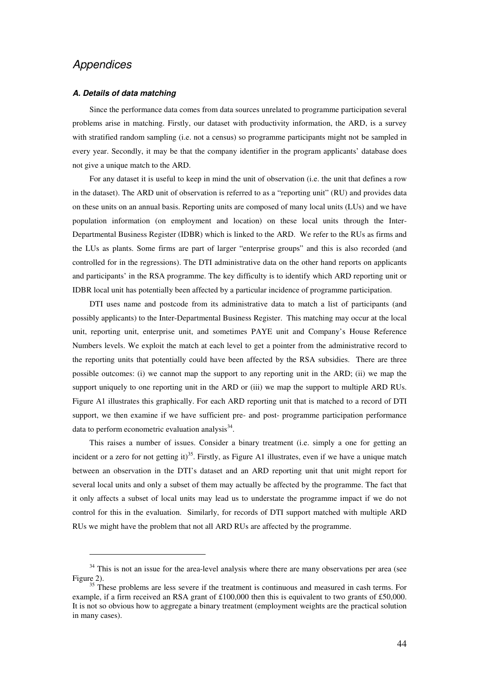## **Appendices**

 $\overline{a}$ 

#### **A. Details of data matching**

Since the performance data comes from data sources unrelated to programme participation several problems arise in matching. Firstly, our dataset with productivity information, the ARD, is a survey with stratified random sampling (i.e. not a census) so programme participants might not be sampled in every year. Secondly, it may be that the company identifier in the program applicants' database does not give a unique match to the ARD.

For any dataset it is useful to keep in mind the unit of observation (i.e. the unit that defines a row in the dataset). The ARD unit of observation is referred to as a "reporting unit" (RU) and provides data on these units on an annual basis. Reporting units are composed of many local units (LUs) and we have population information (on employment and location) on these local units through the Inter-Departmental Business Register (IDBR) which is linked to the ARD. We refer to the RUs as firms and the LUs as plants. Some firms are part of larger "enterprise groups" and this is also recorded (and controlled for in the regressions). The DTI administrative data on the other hand reports on applicants and participants' in the RSA programme. The key difficulty is to identify which ARD reporting unit or IDBR local unit has potentially been affected by a particular incidence of programme participation.

DTI uses name and postcode from its administrative data to match a list of participants (and possibly applicants) to the Inter-Departmental Business Register. This matching may occur at the local unit, reporting unit, enterprise unit, and sometimes PAYE unit and Company's House Reference Numbers levels. We exploit the match at each level to get a pointer from the administrative record to the reporting units that potentially could have been affected by the RSA subsidies. There are three possible outcomes: (i) we cannot map the support to any reporting unit in the ARD; (ii) we map the support uniquely to one reporting unit in the ARD or (iii) we map the support to multiple ARD RUs. Figure A1 illustrates this graphically. For each ARD reporting unit that is matched to a record of DTI support, we then examine if we have sufficient pre- and post- programme participation performance data to perform econometric evaluation analysis<sup>34</sup>.

This raises a number of issues. Consider a binary treatment (i.e. simply a one for getting an incident or a zero for not getting it)<sup>35</sup>. Firstly, as Figure A1 illustrates, even if we have a unique match between an observation in the DTI's dataset and an ARD reporting unit that unit might report for several local units and only a subset of them may actually be affected by the programme. The fact that it only affects a subset of local units may lead us to understate the programme impact if we do not control for this in the evaluation. Similarly, for records of DTI support matched with multiple ARD RUs we might have the problem that not all ARD RUs are affected by the programme.

<sup>&</sup>lt;sup>34</sup> This is not an issue for the area-level analysis where there are many observations per area (see Figure 2).

 $\frac{35}{35}$  These problems are less severe if the treatment is continuous and measured in cash terms. For example, if a firm received an RSA grant of £100,000 then this is equivalent to two grants of £50,000. It is not so obvious how to aggregate a binary treatment (employment weights are the practical solution in many cases).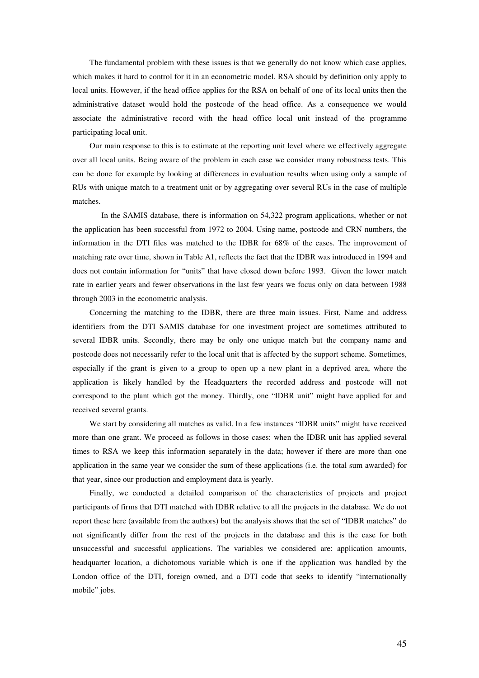The fundamental problem with these issues is that we generally do not know which case applies, which makes it hard to control for it in an econometric model. RSA should by definition only apply to local units. However, if the head office applies for the RSA on behalf of one of its local units then the administrative dataset would hold the postcode of the head office. As a consequence we would associate the administrative record with the head office local unit instead of the programme participating local unit.

Our main response to this is to estimate at the reporting unit level where we effectively aggregate over all local units. Being aware of the problem in each case we consider many robustness tests. This can be done for example by looking at differences in evaluation results when using only a sample of RUs with unique match to a treatment unit or by aggregating over several RUs in the case of multiple matches.

 In the SAMIS database, there is information on 54,322 program applications, whether or not the application has been successful from 1972 to 2004. Using name, postcode and CRN numbers, the information in the DTI files was matched to the IDBR for 68% of the cases. The improvement of matching rate over time, shown in Table A1, reflects the fact that the IDBR was introduced in 1994 and does not contain information for "units" that have closed down before 1993. Given the lower match rate in earlier years and fewer observations in the last few years we focus only on data between 1988 through 2003 in the econometric analysis.

Concerning the matching to the IDBR, there are three main issues. First, Name and address identifiers from the DTI SAMIS database for one investment project are sometimes attributed to several IDBR units. Secondly, there may be only one unique match but the company name and postcode does not necessarily refer to the local unit that is affected by the support scheme. Sometimes, especially if the grant is given to a group to open up a new plant in a deprived area, where the application is likely handled by the Headquarters the recorded address and postcode will not correspond to the plant which got the money. Thirdly, one "IDBR unit" might have applied for and received several grants.

We start by considering all matches as valid. In a few instances "IDBR units" might have received more than one grant. We proceed as follows in those cases: when the IDBR unit has applied several times to RSA we keep this information separately in the data; however if there are more than one application in the same year we consider the sum of these applications (i.e. the total sum awarded) for that year, since our production and employment data is yearly.

Finally, we conducted a detailed comparison of the characteristics of projects and project participants of firms that DTI matched with IDBR relative to all the projects in the database. We do not report these here (available from the authors) but the analysis shows that the set of "IDBR matches" do not significantly differ from the rest of the projects in the database and this is the case for both unsuccessful and successful applications. The variables we considered are: application amounts, headquarter location, a dichotomous variable which is one if the application was handled by the London office of the DTI, foreign owned, and a DTI code that seeks to identify "internationally mobile" jobs.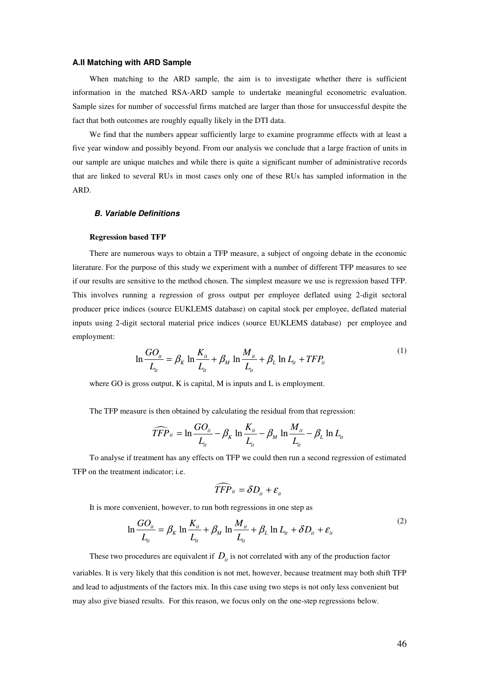#### **A.II Matching with ARD Sample**

When matching to the ARD sample, the aim is to investigate whether there is sufficient information in the matched RSA-ARD sample to undertake meaningful econometric evaluation. Sample sizes for number of successful firms matched are larger than those for unsuccessful despite the fact that both outcomes are roughly equally likely in the DTI data.

We find that the numbers appear sufficiently large to examine programme effects with at least a five year window and possibly beyond. From our analysis we conclude that a large fraction of units in our sample are unique matches and while there is quite a significant number of administrative records that are linked to several RUs in most cases only one of these RUs has sampled information in the ARD.

#### **B. Variable Definitions**

#### **Regression based TFP**

There are numerous ways to obtain a TFP measure, a subject of ongoing debate in the economic literature. For the purpose of this study we experiment with a number of different TFP measures to see if our results are sensitive to the method chosen. The simplest measure we use is regression based TFP. This involves running a regression of gross output per employee deflated using 2-digit sectoral producer price indices (source EUKLEMS database) on capital stock per employee, deflated material inputs using 2-digit sectoral material price indices (source EUKLEMS database) per employee and employment:

$$
\ln \frac{GO_{it}}{L_{it}} = \beta_K \ln \frac{K_{it}}{L_{it}} + \beta_M \ln \frac{M_{it}}{L_{it}} + \beta_L \ln L_{it} + TFP_{it}
$$
\n(1)

where GO is gross output, K is capital, M is inputs and L is employment.

The TFP measure is then obtained by calculating the residual from that regression:

$$
\widehat{TFP}_{it} = \ln \frac{GO_{it}}{L_{it}} - \beta_K \ln \frac{K_{it}}{L_{it}} - \beta_M \ln \frac{M_{it}}{L_{it}} - \beta_L \ln L_{it}
$$

To analyse if treatment has any effects on TFP we could then run a second regression of estimated TFP on the treatment indicator; i.e.

$$
\widehat{TFP}_{it} = \delta D_{it} + \varepsilon_{it}
$$

It is more convenient, however, to run both regressions in one step as

$$
\ln \frac{GO_{it}}{L_{it}} = \beta_K \ln \frac{K_{it}}{L_{it}} + \beta_M \ln \frac{M_{it}}{L_{it}} + \beta_L \ln L_{it} + \delta D_{it} + \varepsilon_{it}
$$
\n<sup>(2)</sup>

These two procedures are equivalent if  $D_i$  is not correlated with any of the production factor variables. It is very likely that this condition is not met, however, because treatment may both shift TFP and lead to adjustments of the factors mix. In this case using two steps is not only less convenient but may also give biased results. For this reason, we focus only on the one-step regressions below.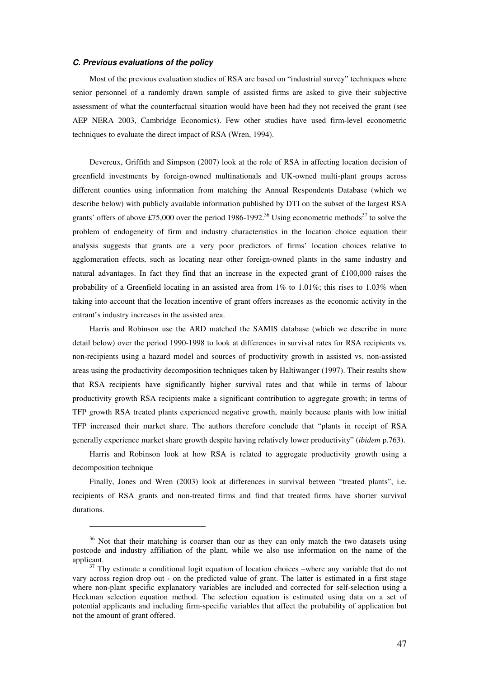#### **C. Previous evaluations of the policy**

l

Most of the previous evaluation studies of RSA are based on "industrial survey" techniques where senior personnel of a randomly drawn sample of assisted firms are asked to give their subjective assessment of what the counterfactual situation would have been had they not received the grant (see AEP NERA 2003, Cambridge Economics). Few other studies have used firm-level econometric techniques to evaluate the direct impact of RSA (Wren, 1994).

Devereux, Griffith and Simpson (2007) look at the role of RSA in affecting location decision of greenfield investments by foreign-owned multinationals and UK-owned multi-plant groups across different counties using information from matching the Annual Respondents Database (which we describe below) with publicly available information published by DTI on the subset of the largest RSA grants' offers of above £75,000 over the period 1986-1992.<sup>36</sup> Using econometric methods<sup>37</sup> to solve the problem of endogeneity of firm and industry characteristics in the location choice equation their analysis suggests that grants are a very poor predictors of firms' location choices relative to agglomeration effects, such as locating near other foreign-owned plants in the same industry and natural advantages. In fact they find that an increase in the expected grant of £100,000 raises the probability of a Greenfield locating in an assisted area from  $1\%$  to  $1.01\%$ ; this rises to  $1.03\%$  when taking into account that the location incentive of grant offers increases as the economic activity in the entrant's industry increases in the assisted area.

Harris and Robinson use the ARD matched the SAMIS database (which we describe in more detail below) over the period 1990-1998 to look at differences in survival rates for RSA recipients vs. non-recipients using a hazard model and sources of productivity growth in assisted vs. non-assisted areas using the productivity decomposition techniques taken by Haltiwanger (1997). Their results show that RSA recipients have significantly higher survival rates and that while in terms of labour productivity growth RSA recipients make a significant contribution to aggregate growth; in terms of TFP growth RSA treated plants experienced negative growth, mainly because plants with low initial TFP increased their market share. The authors therefore conclude that "plants in receipt of RSA generally experience market share growth despite having relatively lower productivity" (*ibidem* p.763).

Harris and Robinson look at how RSA is related to aggregate productivity growth using a decomposition technique

Finally, Jones and Wren (2003) look at differences in survival between "treated plants", i.e. recipients of RSA grants and non-treated firms and find that treated firms have shorter survival durations.

<sup>&</sup>lt;sup>36</sup> Not that their matching is coarser than our as they can only match the two datasets using postcode and industry affiliation of the plant, while we also use information on the name of the applicant.

 $37$  Thy estimate a conditional logit equation of location choices –where any variable that do not vary across region drop out - on the predicted value of grant. The latter is estimated in a first stage where non-plant specific explanatory variables are included and corrected for self-selection using a Heckman selection equation method. The selection equation is estimated using data on a set of potential applicants and including firm-specific variables that affect the probability of application but not the amount of grant offered.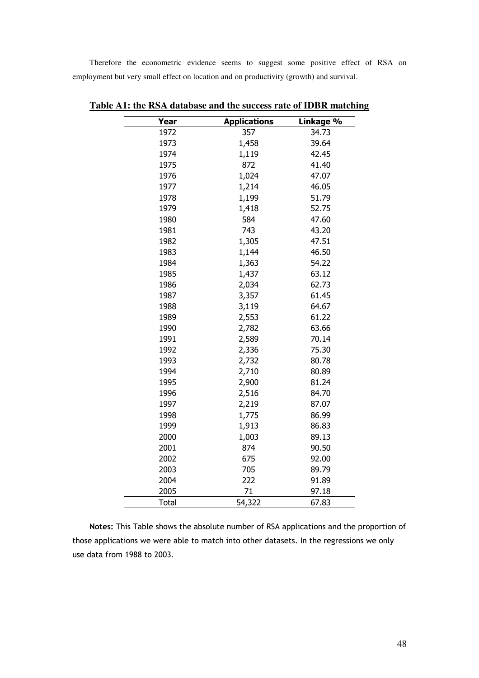Therefore the econometric evidence seems to suggest some positive effect of RSA on employment but very small effect on location and on productivity (growth) and survival.

| Year         | <b>Applications</b> | Linkage % |
|--------------|---------------------|-----------|
| 1972         | 357                 | 34.73     |
| 1973         | 1,458               | 39.64     |
| 1974         | 1,119               | 42.45     |
| 1975         | 872                 | 41.40     |
| 1976         | 1,024               | 47.07     |
| 1977         | 1,214               | 46.05     |
| 1978         | 1,199               | 51.79     |
| 1979         | 1,418               | 52.75     |
| 1980         | 584                 | 47.60     |
| 1981         | 743                 | 43.20     |
| 1982         | 1,305               | 47.51     |
| 1983         | 1,144               | 46.50     |
| 1984         | 1,363               | 54.22     |
| 1985         | 1,437               | 63.12     |
| 1986         | 2,034               | 62.73     |
| 1987         | 3,357               | 61.45     |
| 1988         | 3,119               | 64.67     |
| 1989         | 2,553               | 61.22     |
| 1990         | 2,782               | 63.66     |
| 1991         | 2,589               | 70.14     |
| 1992         | 2,336               | 75.30     |
| 1993         | 2,732               | 80.78     |
| 1994         | 2,710               | 80.89     |
| 1995         | 2,900               | 81.24     |
| 1996         | 2,516               | 84.70     |
| 1997         | 2,219               | 87.07     |
| 1998         | 1,775               | 86.99     |
| 1999         | 1,913               | 86.83     |
| 2000         | 1,003               | 89.13     |
| 2001         | 874                 | 90.50     |
| 2002         | 675                 | 92.00     |
| 2003         | 705                 | 89.79     |
| 2004         | 222                 | 91.89     |
| 2005         | 71                  | 97.18     |
| <b>Total</b> | 54,322              | 67.83     |

**Table A1: the RSA database and the success rate of IDBR matching** 

Notes: This Table shows the absolute number of RSA applications and the proportion of those applications we were able to match into other datasets. In the regressions we only use data from 1988 to 2003.